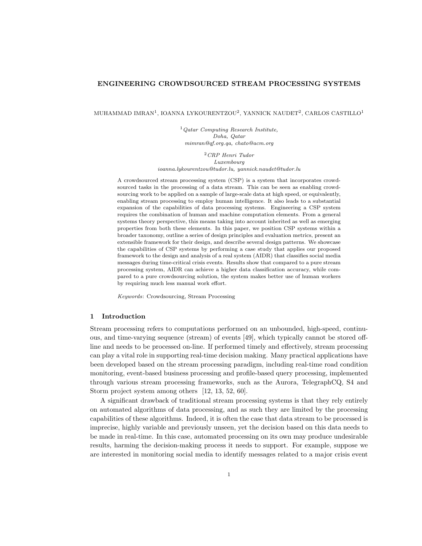### ENGINEERING CROWDSOURCED STREAM PROCESSING SYSTEMS

MUHAMMAD IMRAN<sup>1</sup>, IOANNA LYKOURENTZOU<sup>2</sup>, YANNICK NAUDET<sup>2</sup>, CARLOS CASTILLO<sup>1</sup>

 $1$  Qatar Computing Research Institute, Doha, Qatar mimran@qf.org.qa, chato@acm.org

<sup>2</sup>CRP Henri Tudor Luxembourg ioanna.lykourentzou@tudor.lu, yannick.naudet@tudor.lu

A crowdsourced stream processing system (CSP) is a system that incorporates crowdsourced tasks in the processing of a data stream. This can be seen as enabling crowdsourcing work to be applied on a sample of large-scale data at high speed, or equivalently, enabling stream processing to employ human intelligence. It also leads to a substantial expansion of the capabilities of data processing systems. Engineering a CSP system requires the combination of human and machine computation elements. From a general systems theory perspective, this means taking into account inherited as well as emerging properties from both these elements. In this paper, we position CSP systems within a broader taxonomy, outline a series of design principles and evaluation metrics, present an extensible framework for their design, and describe several design patterns. We showcase the capabilities of CSP systems by performing a case study that applies our proposed framework to the design and analysis of a real system (AIDR) that classifies social media messages during time-critical crisis events. Results show that compared to a pure stream processing system, AIDR can achieve a higher data classification accuracy, while compared to a pure crowdsourcing solution, the system makes better use of human workers by requiring much less manual work effort.

Keywords: Crowdsourcing, Stream Processing

#### <span id="page-0-0"></span>1 Introduction

Stream processing refers to computations performed on an unbounded, high-speed, continuous, and time-varying sequence (stream) of events [49], which typically cannot be stored offline and needs to be processed on-line. If performed timely and effectively, stream processing can play a vital role in supporting real-time decision making. Many practical applications have been developed based on the stream processing paradigm, including real-time road condition monitoring, event-based business processing and profile-based query processing, implemented through various stream processing frameworks, such as the Aurora, TelegraphCQ, S4 and Storm project system among others [\[12,](#page-26-0) [13,](#page-26-1) [52,](#page-29-0) [60\]](#page-30-0).

A significant drawback of traditional stream processing systems is that they rely entirely on automated algorithms of data processing, and as such they are limited by the processing capabilities of these algorithms. Indeed, it is often the case that data stream to be processed is imprecise, highly variable and previously unseen, yet the decision based on this data needs to be made in real-time. In this case, automated processing on its own may produce undesirable results, harming the decision-making process it needs to support. For example, suppose we are interested in monitoring social media to identify messages related to a major crisis event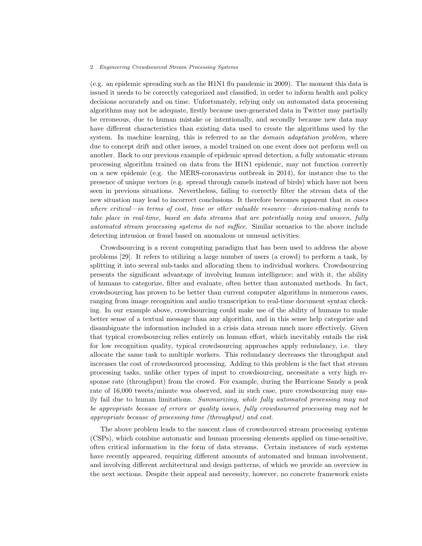(e.g. an epidemic spreading such as the H1N1 flu pandemic in 2009). The moment this data is issued it needs to be correctly categorized and classified, in order to inform health and policy decisions accurately and on time. Unfortunately, relying only on automated data processing algorithms may not be adequate, firstly because user-generated data in Twitter may partially be erroneous, due to human mistake or intentionally, and secondly because new data may have different characteristics than existing data used to create the algorithms used by the system. In machine learning, this is referred to as the *domain adaptation problem*, where due to concept drift and other issues, a model trained on one event does not perform well on another. Back to our previous example of epidemic spread detection, a fully automatic stream processing algorithm trained on data from the H1N1 epidemic, may not function correctly on a new epidemic (e.g. the MERS-coronavirus outbreak in 2014), for instance due to the presence of unique vectors (e.g. spread through camels instead of birds) which have not been seen in previous situations. Nevertheless, failing to correctly filter the stream data of the new situation may lead to incorrect conclusions. It therefore becomes apparent that in cases where critical—in terms of cost, time or other valuable resource—decision-making needs to take place in real-time, based on data streams that are potentially noisy and unseen, fully automated stream processing systems do not suffice. Similar scenarios to the above include detecting intrusion or fraud based on anomalous or unusual activities.

Crowdsourcing is a recent computing paradigm that has been used to address the above problems [\[29\]](#page-28-0). It refers to utilizing a large number of users (a crowd) to perform a task, by splitting it into several sub-tasks and allocating them to individual workers. Crowdsourcing presents the significant advantage of involving human intelligence; and with it, the ability of humans to categorize, filter and evaluate, often better than automated methods. In fact, crowdsourcing has proven to be better than current computer algorithms in numerous cases, ranging from image recognition and audio transcription to real-time document syntax checking. In our example above, crowdsourcing could make use of the ability of humans to make better sense of a textual message than any algorithm, and in this sense help categorize and disambiguate the information included in a crisis data stream much more effectively. Given that typical crowdsourcing relies entirely on human effort, which inevitably entails the risk for low recognition quality, typical crowdsourcing approaches apply redundancy, i.e. they allocate the same task to multiple workers. This redundancy decreases the throughput and increases the cost of crowdsourced processing. Adding to this problem is the fact that stream processing tasks, unlike other types of input to crowdsourcing, necessitate a very high response rate (throughput) from the crowd. For example, during the Hurricane Sandy a peak rate of 16,000 tweets/minute was observed, and in such case, pure crowdsourcing may easily fail due to human limitations. Summarizing, while fully automated processing may not be appropriate because of errors or quality issues, fully crowdsourced processing may not be appropriate because of processing time (throughput) and cost.

The above problem leads to the nascent class of crowdsourced stream processing systems (CSPs), which combine automatic and human processing elements applied on time-sensitive, often critical information in the form of data streams. Certain instances of such systems have recently appeared, requiring different amounts of automated and human involvement, and involving different architectural and design patterns, of which we provide an overview in the next sections. Despite their appeal and necessity, however, no concrete framework exists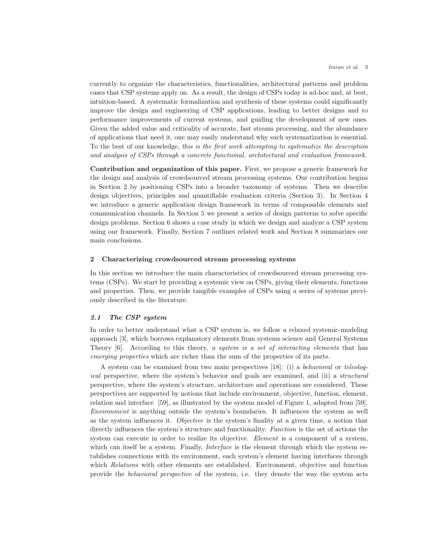currently to organize the characteristics, functionalities, architectural patterns and problem cases that CSP systems apply on. As a result, the design of CSPs today is ad-hoc and, at best, intuition-based. A systematic formalization and synthesis of these systems could significantly improve the design and engineering of CSP applications, leading to better designs and to performance improvements of current systems, and guiding the development of new ones. Given the added value and criticality of accurate, fast stream processing, and the abundance of applications that need it, one may easily understand why such systematization is essential. To the best of our knowledge, this is the first work attempting to systematize the description and analysis of CSPs through a concrete functional, architectural and evaluation framework.

Contribution and organization of this paper. First, we propose a generic framework for the design and analysis of crowdsourced stream processing systems. Our contribution begins in Section [2](#page-2-0) by positioning CSPs into a broader taxonomy of systems. Then we describe design objectives, principles and quantifiable evaluation criteria (Section [3\)](#page-7-0). In Section [4](#page-10-0) we introduce a generic application design framework in terms of composable elements and communication channels. In Section [5](#page-14-0) we present a series of design patterns to solve specific design problems. Section [6](#page-17-0) shows a case study in which we design and analyze a CSP system using our framework. Finally, Section [7](#page-23-0) outlines related work and Section [8](#page-25-0) summarizes our main conclusions.

#### <span id="page-2-0"></span>2 Characterizing crowdsourced stream processing systems

In this section we introduce the main characteristics of crowdsourced stream processing systems (CSPs). We start by providing a systemic view on CSPs, giving their elements, functions and properties. Then, we provide tangible examples of CSPs using a series of systems previously described in the literature.

# <span id="page-2-1"></span>2.1 The CSP system

In order to better understand what a CSP system is, we follow a relaxed systemic-modeling approach [\[3\]](#page-26-2), which borrows explanatory elements from systems science and General Systems Theory  $[6]$ . According to this theory, a system is a set of interacting elements that has emerging properties which are richer than the sum of the properties of its parts.

A system can be examined from two main perspectives [\[18\]](#page-27-0): (i) a behavioral or teleological perspective, where the system's behavior and goals are examined, and (ii) a structural perspective, where the system's structure, architecture and operations are considered. These perspectives are supported by notions that include environment, objective, function, element, relation and interface [\[59\]](#page-30-1), as illustrated by the system model of Figure [1,](#page-3-0) adapted from [\[59\]](#page-30-1). Environment is anything outside the system's boundaries. It influences the system as well as the system influences it. Objective is the system's finality at a given time, a notion that directly influences the system's structure and functionality. Function is the set of actions the system can execute in order to realize its objective. Element is a component of a system, which can itself be a system. Finally, *Interface* is the element through which the system establishes connections with its environment, each system's element having interfaces through which Relations with other elements are established. Environment, objective and function provide the behavioral perspective of the system, i.e. they denote the way the system acts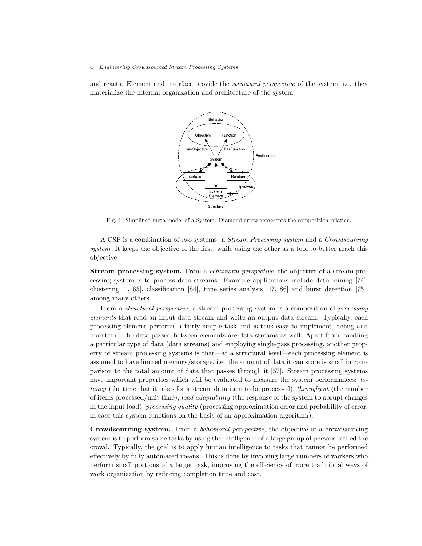and reacts. Element and interface provide the *structural perspective* of the system, i.e. they materialize the internal organization and architecture of the system.

<span id="page-3-0"></span>

Fig. 1. Simplified meta model of a System. Diamond arrow represents the composition relation.

A CSP is a combination of two systems: a Stream Processing system and a Crowdsourcing system. It keeps the objective of the first, while using the other as a tool to better reach this objective.

**Stream processing system.** From a *behavioral perspective*, the objective of a stream processing system is to process data streams. Example applications include data mining [\[74\]](#page-31-0), clustering [\[1,](#page-26-4) [85\]](#page-31-1), classification [\[84\]](#page-31-2), time series analysis [\[47,](#page-29-1) [86\]](#page-31-3) and burst detection [\[75\]](#page-31-4), among many others.

From a *structural perspective*, a stream processing system is a composition of *processing* elements that read an input data stream and write an output data stream. Typically, each processing element performs a fairly simple task and is thus easy to implement, debug and maintain. The data passed between elements are data streams as well. Apart from handling a particular type of data (data streams) and employing single-pass processing, another property of stream processing systems is that—at a structural level—each processing element is assumed to have limited memory/storage, i.e. the amount of data it can store is small in comparison to the total amount of data that passes through it [\[57\]](#page-30-2). Stream processing systems have important properties which will be evaluated to measure the system performances: latency (the time that it takes for a stream data item to be processed), throughput (the number of items processed/unit time), load adaptability (the response of the system to abrupt changes in the input load), processing quality (processing approximation error and probability of error, in case this system functions on the basis of an approximation algorithm).

Crowdsourcing system. From a behavioral perspective, the objective of a crowdsourcing system is to perform some tasks by using the intelligence of a large group of persons, called the crowd. Typically, the goal is to apply human intelligence to tasks that cannot be performed effectively by fully automated means. This is done by involving large numbers of workers who perform small portions of a larger task, improving the efficiency of more traditional ways of work organization by reducing completion time and cost.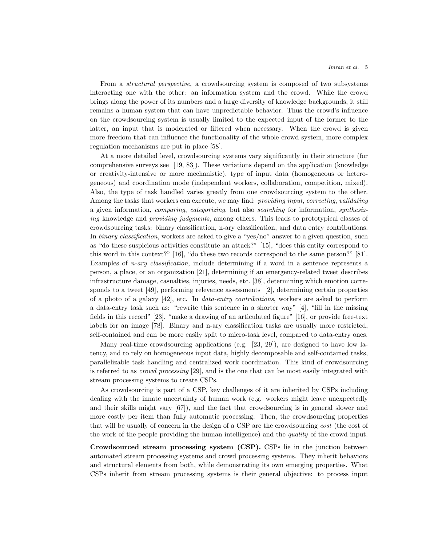From a *structural perspective*, a crowdsourcing system is composed of two subsystems interacting one with the other: an information system and the crowd. While the crowd brings along the power of its numbers and a large diversity of knowledge backgrounds, it still remains a human system that can have unpredictable behavior. Thus the crowd's influence on the crowdsourcing system is usually limited to the expected input of the former to the latter, an input that is moderated or filtered when necessary. When the crowd is given more freedom that can influence the functionality of the whole crowd system, more complex regulation mechanisms are put in place [\[58\]](#page-30-3).

At a more detailed level, crowdsourcing systems vary significantly in their structure (for comprehensive surveys see [\[19,](#page-27-1) [83\]](#page-31-5)). These variations depend on the application (knowledge or creativity-intensive or more mechanistic), type of input data (homogeneous or heterogeneous) and coordination mode (independent workers, collaboration, competition, mixed). Also, the type of task handled varies greatly from one crowdsourcing system to the other. Among the tasks that workers can execute, we may find: *providing input, correcting, validating* a given information, comparing, categorizing, but also searching for information, synthesizing knowledge and providing judgments, among others. This leads to prototypical classes of crowdsourcing tasks: binary classification, n-ary classification, and data entry contributions. In binary classification, workers are asked to give a "yes/no" answer to a given question, such as "do these suspicious activities constitute an attack?" [\[15\]](#page-27-2), "does this entity correspond to this word in this context?" [\[16\]](#page-27-3), "do these two records correspond to the same person?" [\[81\]](#page-31-6). Examples of *n-ary classification*, include determining if a word in a sentence represents a person, a place, or an organization [\[21\]](#page-27-4), determining if an emergency-related tweet describes infrastructure damage, casualties, injuries, needs, etc. [\[38\]](#page-28-1), determining which emotion corresponds to a tweet [\[49\]](#page-29-2), performing relevance assessments [\[2\]](#page-26-5), determining certain properties of a photo of a galaxy [\[42\]](#page-29-3), etc. In data-entry contributions, workers are asked to perform a data-entry task such as: "rewrite this sentence in a shorter way" [\[4\]](#page-26-6), "fill in the missing fields in this record" [\[23\]](#page-27-5), "make a drawing of an articulated figure" [\[16\]](#page-27-3), or provide free-text labels for an image [\[78\]](#page-31-7). Binary and n-ary classification tasks are usually more restricted, self-contained and can be more easily split to micro-task level, compared to data-entry ones.

Many real-time crowdsourcing applications (e.g. [\[23,](#page-27-5) [29\]](#page-28-0)), are designed to have low latency, and to rely on homogeneous input data, highly decomposable and self-contained tasks, parallelizable task handling and centralized work coordination. This kind of crowdsourcing is referred to as crowd processing [\[29\]](#page-28-0), and is the one that can be most easily integrated with stream processing systems to create CSPs.

As crowdsourcing is part of a CSP, key challenges of it are inherited by CSPs including dealing with the innate uncertainty of human work (e.g. workers might leave unexpectedly and their skills might vary [\[67\]](#page-30-4)), and the fact that crowdsourcing is in general slower and more costly per item than fully automatic processing. Then, the crowdsourcing properties that will be usually of concern in the design of a CSP are the crowdsourcing cost (the cost of the work of the people providing the human intelligence) and the *quality* of the crowd input.

Crowdsourced stream processing system (CSP). CSPs lie in the junction between automated stream processing systems and crowd processing systems. They inherit behaviors and structural elements from both, while demonstrating its own emerging properties. What CSPs inherit from stream processing systems is their general objective: to process input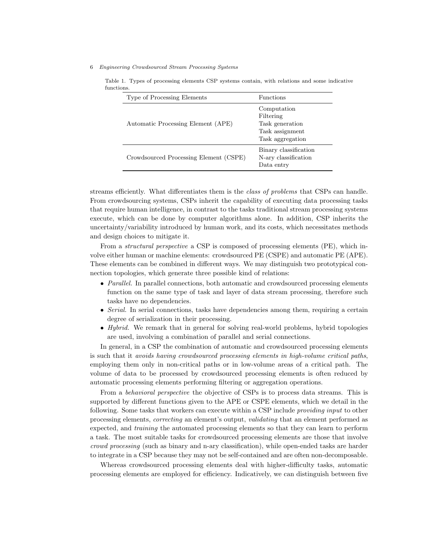Type of Processing Elements Functions Automatic Processing Element (APE) Computation Filtering Task generation Task assignment Task aggregation Crowdsourced Processing Element (CSPE) Binary classification N-ary classification Data entry

<span id="page-5-0"></span>Table 1. Types of processing elements CSP systems contain, with relations and some indicative functions.

streams efficiently. What differentiates them is the *class of problems* that CSPs can handle. From crowdsourcing systems, CSPs inherit the capability of executing data processing tasks that require human intelligence, in contrast to the tasks traditional stream processing systems execute, which can be done by computer algorithms alone. In addition, CSP inherits the uncertainty/variability introduced by human work, and its costs, which necessitates methods and design choices to mitigate it.

From a *structural perspective* a CSP is composed of processing elements (PE), which involve either human or machine elements: crowdsourced PE (CSPE) and automatic PE (APE). These elements can be combined in different ways. We may distinguish two prototypical connection topologies, which generate three possible kind of relations:

- Parallel. In parallel connections, both automatic and crowdsourced processing elements function on the same type of task and layer of data stream processing, therefore such tasks have no dependencies.
- Serial. In serial connections, tasks have dependencies among them, requiring a certain degree of serialization in their processing.
- $\bullet$  Hybrid. We remark that in general for solving real-world problems, hybrid topologies are used, involving a combination of parallel and serial connections.

In general, in a CSP the combination of automatic and crowdsourced processing elements is such that it avoids having crowdsourced processing elements in high-volume critical paths, employing them only in non-critical paths or in low-volume areas of a critical path. The volume of data to be processed by crowdsourced processing elements is often reduced by automatic processing elements performing filtering or aggregation operations.

From a *behavioral perspective* the objective of CSPs is to process data streams. This is supported by different functions given to the APE or CSPE elements, which we detail in the following. Some tasks that workers can execute within a CSP include providing input to other processing elements, correcting an element's output, validating that an element performed as expected, and training the automated processing elements so that they can learn to perform a task. The most suitable tasks for crowdsourced processing elements are those that involve crowd processing (such as binary and n-ary classification), while open-ended tasks are harder to integrate in a CSP because they may not be self-contained and are often non-decomposable.

Whereas crowdsourced processing elements deal with higher-difficulty tasks, automatic processing elements are employed for efficiency. Indicatively, we can distinguish between five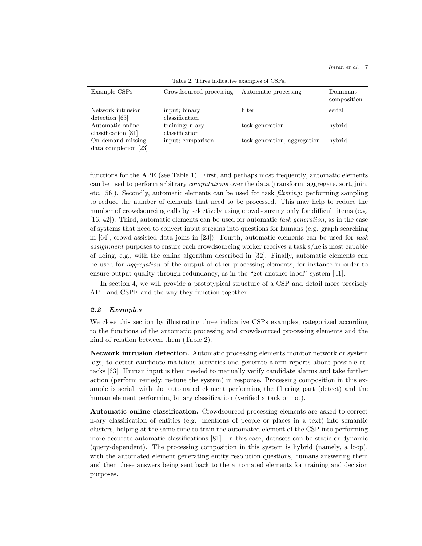<span id="page-6-0"></span>

| rapio 2. Throe mandative examples of Opt s. |                                   |                              |                         |  |
|---------------------------------------------|-----------------------------------|------------------------------|-------------------------|--|
| Example CSPs                                | Crowdsourced processing           | Automatic processing         | Dominant<br>composition |  |
| Network intrusion<br>detection [63]         | input; binary<br>classification   | filter                       | serial                  |  |
| Automatic online<br>classification $[81]$   | training; n-ary<br>classification | task generation              | hybrid                  |  |
| On-demand missing<br>data completion $[23]$ | input; comparison                 | task generation, aggregation | hybrid                  |  |

Table 2. Three indicative examples of CSPs.

functions for the APE (see Table [1\)](#page-5-0). First, and perhaps most frequently, automatic elements can be used to perform arbitrary computations over the data (transform, aggregate, sort, join, etc. [\[56\]](#page-29-4)). Secondly, automatic elements can be used for task filtering: performing sampling to reduce the number of elements that need to be processed. This may help to reduce the number of crowdsourcing calls by selectively using crowdsourcing only for difficult items (e.g. [\[16,](#page-27-3) [42\]](#page-29-3)). Third, automatic elements can be used for automatic task generation, as in the case of systems that need to convert input streams into questions for humans (e.g. graph searching in  $[64]$ , crowd-assisted data joins in  $[23]$ . Fourth, automatic elements can be used for task assignment purposes to ensure each crowdsourcing worker receives a task s/he is most capable of doing, e.g., with the online algorithm described in [\[32\]](#page-28-2). Finally, automatic elements can be used for aggregation of the output of other processing elements, for instance in order to ensure output quality through redundancy, as in the "get-another-label" system [\[41\]](#page-28-3).

In section [4,](#page-10-0) we will provide a prototypical structure of a CSP and detail more precisely APE and CSPE and the way they function together.

#### 2.2 Examples

We close this section by illustrating three indicative CSPs examples, categorized according to the functions of the automatic processing and crowdsourced processing elements and the kind of relation between them (Table [2\)](#page-6-0).

Network intrusion detection. Automatic processing elements monitor network or system logs, to detect candidate malicious activities and generate alarm reports about possible attacks [\[63\]](#page-30-5). Human input is then needed to manually verify candidate alarms and take further action (perform remedy, re-tune the system) in response. Processing composition in this example is serial, with the automated element performing the filtering part (detect) and the human element performing binary classification (verified attack or not).

Automatic online classification. Crowdsourced processing elements are asked to correct n-ary classification of entities (e.g. mentions of people or places in a text) into semantic clusters, helping at the same time to train the automated element of the CSP into performing more accurate automatic classifications [\[81\]](#page-31-6). In this case, datasets can be static or dynamic (query-dependent). The processing composition in this system is hybrid (namely, a loop), with the automated element generating entity resolution questions, humans answering them and then these answers being sent back to the automated elements for training and decision purposes.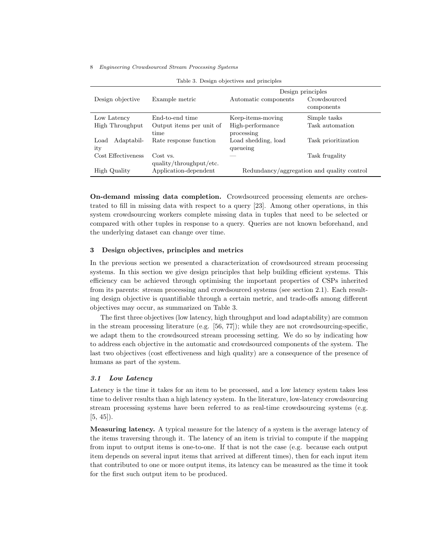<span id="page-7-1"></span>

| rable 9. Design objectives and principles |                          |                                            |                     |  |
|-------------------------------------------|--------------------------|--------------------------------------------|---------------------|--|
|                                           |                          | Design principles                          |                     |  |
| Design objective                          | Example metric           | Automatic components                       | Crowdsourced        |  |
|                                           |                          |                                            | components          |  |
| Low Latency                               | End-to-end time          | Keep-items-moving                          | Simple tasks        |  |
| High Throughput                           | Output items per unit of | High-performance                           | Task automation     |  |
|                                           | time                     | processing                                 |                     |  |
| Adaptabil-<br>Load                        | Rate response function   | Load shedding, load                        | Task prioritization |  |
| ity                                       |                          | queueing                                   |                     |  |
| Cost Effectiveness                        | Cost vs.                 |                                            | Task frugality      |  |
|                                           | quality/throughput/etc.  |                                            |                     |  |
| High Quality                              | Application-dependent    | Redundancy/aggregation and quality control |                     |  |

Table 3. Design objectives and principles

On-demand missing data completion. Crowdsourced processing elements are orchestrated to fill in missing data with respect to a query [\[23\]](#page-27-5). Among other operations, in this system crowdsourcing workers complete missing data in tuples that need to be selected or compared with other tuples in response to a query. Queries are not known beforehand, and the underlying dataset can change over time.

# <span id="page-7-0"></span>3 Design objectives, principles and metrics

In the previous section we presented a characterization of crowdsourced stream processing systems. In this section we give design principles that help building efficient systems. This efficiency can be achieved through optimising the important properties of CSPs inherited from its parents: stream processing and crowdsourced systems (see section [2.1\)](#page-2-1). Each resulting design objective is quantifiable through a certain metric, and trade-offs among different objectives may occur, as summarized on Table [3.](#page-7-1)

The first three objectives (low latency, high throughput and load adaptability) are common in the stream processing literature (e.g. [\[56,](#page-29-4) [77\]](#page-31-8)); while they are not crowdsourcing-specific, we adapt them to the crowdsourced stream processing setting. We do so by indicating how to address each objective in the automatic and crowdsourced components of the system. The last two objectives (cost effectiveness and high quality) are a consequence of the presence of humans as part of the system.

# 3.1 Low Latency

Latency is the time it takes for an item to be processed, and a low latency system takes less time to deliver results than a high latency system. In the literature, low-latency crowdsourcing stream processing systems have been referred to as real-time crowdsourcing systems (e.g.  $[5, 45]$  $[5, 45]$  $[5, 45]$ ).

Measuring latency. A typical measure for the latency of a system is the average latency of the items traversing through it. The latency of an item is trivial to compute if the mapping from input to output items is one-to-one. If that is not the case (e.g. because each output item depends on several input items that arrived at different times), then for each input item that contributed to one or more output items, its latency can be measured as the time it took for the first such output item to be produced.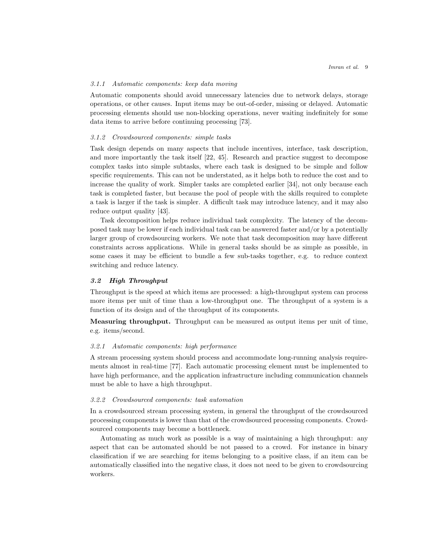### 3.1.1 Automatic components: keep data moving

Automatic components should avoid unnecessary latencies due to network delays, storage operations, or other causes. Input items may be out-of-order, missing or delayed. Automatic processing elements should use non-blocking operations, never waiting indefinitely for some data items to arrive before continuing processing [\[73\]](#page-31-9).

#### <span id="page-8-0"></span>3.1.2 Crowdsourced components: simple tasks

Task design depends on many aspects that include incentives, interface, task description, and more importantly the task itself [\[22,](#page-27-6) [45\]](#page-29-5). Research and practice suggest to decompose complex tasks into simple subtasks, where each task is designed to be simple and follow specific requirements. This can not be understated, as it helps both to reduce the cost and to increase the quality of work. Simpler tasks are completed earlier [\[34\]](#page-28-4), not only because each task is completed faster, but because the pool of people with the skills required to complete a task is larger if the task is simpler. A difficult task may introduce latency, and it may also reduce output quality [\[43\]](#page-29-6).

Task decomposition helps reduce individual task complexity. The latency of the decomposed task may be lower if each individual task can be answered faster and/or by a potentially larger group of crowdsourcing workers. We note that task decomposition may have different constraints across applications. While in general tasks should be as simple as possible, in some cases it may be efficient to bundle a few sub-tasks together, e.g. to reduce context switching and reduce latency.

# 3.2 High Throughput

Throughput is the speed at which items are processed: a high-throughput system can process more items per unit of time than a low-throughput one. The throughput of a system is a function of its design and of the throughput of its components.

Measuring throughput. Throughput can be measured as output items per unit of time, e.g. items/second.

## 3.2.1 Automatic components: high performance

A stream processing system should process and accommodate long-running analysis requirements almost in real-time [\[77\]](#page-31-8). Each automatic processing element must be implemented to have high performance, and the application infrastructure including communication channels must be able to have a high throughput.

#### 3.2.2 Crowdsourced components: task automation

In a crowdsourced stream processing system, in general the throughput of the crowdsourced processing components is lower than that of the crowdsourced processing components. Crowdsourced components may become a bottleneck.

Automating as much work as possible is a way of maintaining a high throughput: any aspect that can be automated should be not passed to a crowd. For instance in binary classification if we are searching for items belonging to a positive class, if an item can be automatically classified into the negative class, it does not need to be given to crowdsourcing workers.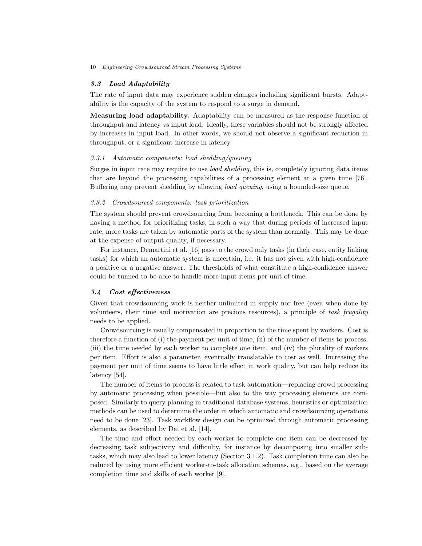# 3.3 Load Adaptability

The rate of input data may experience sudden changes including significant bursts. Adaptability is the capacity of the system to respond to a surge in demand.

Measuring load adaptability. Adaptability can be measured as the response function of throughput and latency vs input load. Ideally, these variables should not be strongly affected by increases in input load. In other words, we should not observe a significant reduction in throughput, or a significant increase in latency.

## 3.3.1 Automatic components: load shedding/queuing

Surges in input rate may require to use *load shedding*, this is, completely ignoring data items that are beyond the processing capabilities of a processing element at a given time [\[76\]](#page-31-10). Buffering may prevent shedding by allowing *load queuing*, using a bounded-size queue.

#### 3.3.2 Crowdsourced components: task prioritization

The system should prevent crowdsourcing from becoming a bottleneck. This can be done by having a method for prioritizing tasks, in such a way that during periods of increased input rate, more tasks are taken by automatic parts of the system than normally. This may be done at the expense of output quality, if necessary.

For instance, Demartini et al. [\[16\]](#page-27-3) pass to the crowd only tasks (in their case, entity linking tasks) for which an automatic system is uncertain, i.e. it has not given with high-confidence a positive or a negative answer. The thresholds of what constitute a high-confidence answer could be tunned to be able to handle more input items per unit of time.

### 3.4 Cost effectiveness

Given that crowdsourcing work is neither unlimited in supply nor free (even when done by volunteers, their time and motivation are precious resources), a principle of task frugality needs to be applied.

Crowdsourcing is usually compensated in proportion to the time spent by workers. Cost is therefore a function of (i) the payment per unit of time, (ii) of the number of items to process, (iii) the time needed by each worker to complete one item, and (iv) the plurality of workers per item. Effort is also a parameter, eventually translatable to cost as well. Increasing the payment per unit of time seems to have little effect in work quality, but can help reduce its latency [\[54\]](#page-29-7).

The number of items to process is related to task automation—replacing crowd processing by automatic processing when possible—but also to the way processing elements are composed. Similarly to query planning in traditional database systems, heuristics or optimization methods can be used to determine the order in which automatic and crowdsourcing operations need to be done [\[23\]](#page-27-5). Task workflow design can be optimized through automatic processing elements, as described by Dai et al. [\[14\]](#page-26-8).

The time and effort needed by each worker to complete one item can be decreased by decreasing task subjectivity and difficulty, for instance by decomposing into smaller subtasks, which may also lead to lower latency (Section [3.1.2\)](#page-8-0). Task completion time can also be reduced by using more efficient worker-to-task allocation schemas, e.g., based on the average completion time and skills of each worker [\[9\]](#page-26-9).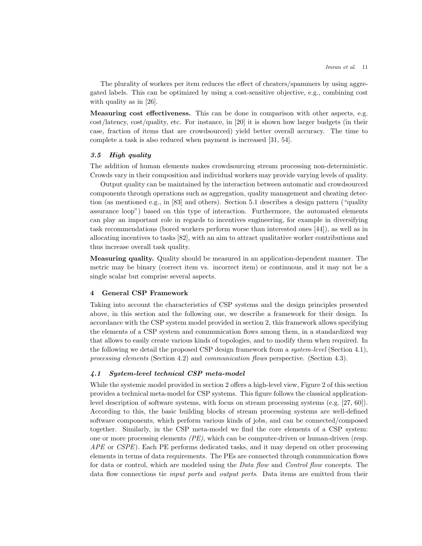The plurality of workers per item reduces the effect of cheaters/spammers by using aggregated labels. This can be optimized by using a cost-sensitive objective, e.g., combining cost with quality as in [\[26\]](#page-27-7).

Measuring cost effectiveness. This can be done in comparison with other aspects, e.g. cost/latency, cost/quality, etc. For instance, in [\[20\]](#page-27-8) it is shown how larger budgets (in their case, fraction of items that are crowdsourced) yield better overall accuracy. The time to complete a task is also reduced when payment is increased [\[31,](#page-28-5) [54\]](#page-29-7).

## <span id="page-10-2"></span>3.5 High quality

The addition of human elements makes crowdsourcing stream processing non-deterministic. Crowds vary in their composition and individual workers may provide varying levels of quality.

Output quality can be maintained by the interaction between automatic and crowdsourced components through operations such as aggregation, quality management and cheating detection (as mentioned e.g., in [\[83\]](#page-31-5) and others). Section [5.1](#page-14-1) describes a design pattern ("quality assurance loop") based on this type of interaction. Furthermore, the automated elements can play an important role in regards to incentives engineering, for example in diversifying task recommendations (bored workers perform worse than interested ones [\[44\]](#page-29-8)), as well as in allocating incentives to tasks [\[82\]](#page-31-11), with an aim to attract qualitative worker contributions and thus increase overall task quality.

Measuring quality. Quality should be measured in an application-dependent manner. The metric may be binary (correct item vs. incorrect item) or continuous, and it may not be a single scalar but comprise several aspects.

## <span id="page-10-0"></span>4 General CSP Framework

Taking into account the characteristics of CSP systems and the design principles presented above, in this section and the following one, we describe a framework for their design. In accordance with the CSP system model provided in section [2,](#page-2-0) this framework allows specifying the elements of a CSP system and communication flows among them, in a standardized way that allows to easily create various kinds of topologies, and to modify them when required. In the following we detail the proposed CSP design framework from a *system-level* (Section [4.1\)](#page-10-1), processing elements (Section [4.2\)](#page-11-0) and communication flows perspective. (Section [4.3\)](#page-12-0).

# <span id="page-10-1"></span>4.1 System-level technical CSP meta-model

While the systemic model provided in section [2](#page-2-0) offers a high-level view, Figure [2](#page-11-1) of this section provides a technical meta-model for CSP systems. This figure follows the classical applicationlevel description of software systems, with focus on stream processing systems (e.g. [\[27,](#page-27-9) [60\]](#page-30-0)). According to this, the basic building blocks of stream processing systems are well-defined software components, which perform various kinds of jobs, and can be connected/composed together. Similarly, in the CSP meta-model we find the core elements of a CSP system: one or more processing elements  $(PE)$ , which can be computer-driven or human-driven (resp. APE or CSPE). Each PE performs dedicated tasks, and it may depend on other processing elements in terms of data requirements. The PEs are connected through communication flows for data or control, which are modeled using the *Data flow* and *Control flow* concepts. The data flow connections tie *input ports* and *output ports*. Data items are emitted from their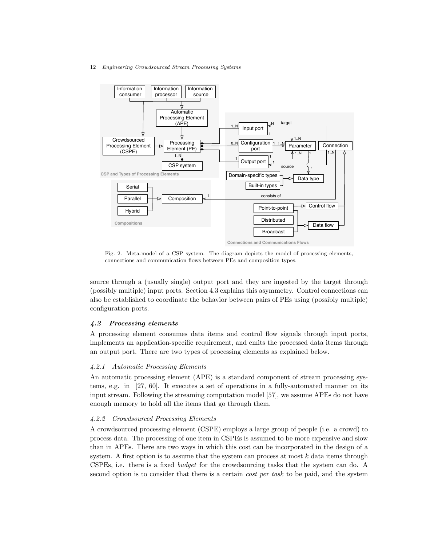

<span id="page-11-1"></span>Fig. 2. Meta-model of a CSP system. The diagram depicts the model of processing elements, connections and communication flows between PEs and composition types.

source through a (usually single) output port and they are ingested by the target through (possibly multiple) input ports. Section [4.3](#page-12-0) explains this asymmetry. Control connections can also be established to coordinate the behavior between pairs of PEs using (possibly multiple) configuration ports.

# <span id="page-11-0"></span>4.2 Processing elements

A processing element consumes data items and control flow signals through input ports, implements an application-specific requirement, and emits the processed data items through an output port. There are two types of processing elements as explained below.

### 4.2.1 Automatic Processing Elements

An automatic processing element (APE) is a standard component of stream processing systems, e.g. in [\[27,](#page-27-9) [60\]](#page-30-0). It executes a set of operations in a fully-automated manner on its input stream. Following the streaming computation model [\[57\]](#page-30-2), we assume APEs do not have enough memory to hold all the items that go through them.

# 4.2.2 Crowdsourced Processing Elements

A crowdsourced processing element (CSPE) employs a large group of people (i.e. a crowd) to process data. The processing of one item in CSPEs is assumed to be more expensive and slow than in APEs. There are two ways in which this cost can be incorporated in the design of a system. A first option is to assume that the system can process at most  $k$  data items through CSPEs, i.e. there is a fixed budget for the crowdsourcing tasks that the system can do. A second option is to consider that there is a certain *cost per task* to be paid, and the system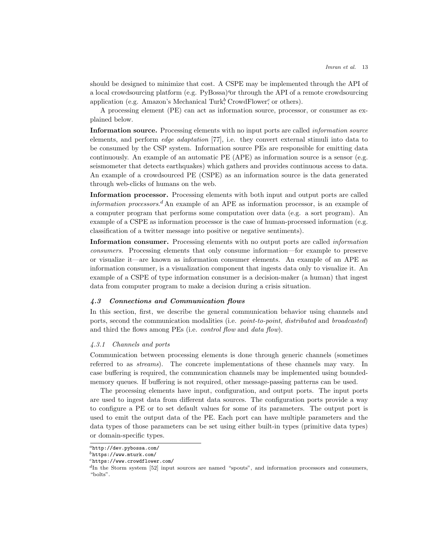should be designed to minimize that cost. A CSPE may be implemented through the API of [a](#page-12-1) local crowdsourcing platform (e.g.  $PyBossa$ )<sup> $a$ </sup>or through the API of a remote crowdsourcing application (e.g. Amazon's Mechanical Tur[k](#page-12-2), C[r](#page-12-3)owdFlower, or others).

A processing element (PE) can act as information source, processor, or consumer as explained below.

Information source. Processing elements with no input ports are called *information source* elements, and perform edge adaptation [\[77\]](#page-31-8), i.e. they convert external stimuli into data to be consumed by the CSP system. Information source PEs are responsible for emitting data continuously. An example of an automatic PE (APE) as information source is a sensor (e.g. seismometer that detects earthquakes) which gathers and provides continuous access to data. An example of a crowdsourced PE (CSPE) as an information source is the data generated through web-clicks of humans on the web.

Information processor. Processing elements with both input and output ports are called *information processors.*<sup> $d$ </sup> An example of an APE as information processor, is an example of a computer program that performs some computation over data (e.g. a sort program). An example of a CSPE as information processor is the case of human-processed information (e.g. classification of a twitter message into positive or negative sentiments).

Information consumer. Processing elements with no output ports are called information consumers. Processing elements that only consume information—for example to preserve or visualize it—are known as information consumer elements. An example of an APE as information consumer, is a visualization component that ingests data only to visualize it. An example of a CSPE of type information consumer is a decision-maker (a human) that ingest data from computer program to make a decision during a crisis situation.

## <span id="page-12-0"></span>4.3 Connections and Communication flows

In this section, first, we describe the general communication behavior using channels and ports, second the communication modalities (i.e. *point-to-point*, *distributed* and *broadcasted*) and third the flows among PEs (i.e. *control flow* and *data flow*).

## 4.3.1 Channels and ports

Communication between processing elements is done through generic channels (sometimes referred to as streams). The concrete implementations of these channels may vary. In case buffering is required, the communication channels may be implemented using boundedmemory queues. If buffering is not required, other message-passing patterns can be used.

The processing elements have input, configuration, and output ports. The input ports are used to ingest data from different data sources. The configuration ports provide a way to configure a PE or to set default values for some of its parameters. The output port is used to emit the output data of the PE. Each port can have multiple parameters and the data types of those parameters can be set using either built-in types (primitive data types) or domain-specific types.

<span id="page-12-1"></span> $a$ <http://dev.pybossa.com/>

<span id="page-12-2"></span> $^{b}$ <https://www.mturk.com/>

<span id="page-12-3"></span><sup>c</sup><https://www.crowdflower.com/>

<span id="page-12-4"></span> ${}^{d}$ In the Storm system [\[52\]](#page-29-0) input sources are named "spouts", and information processors and consumers, "bolts".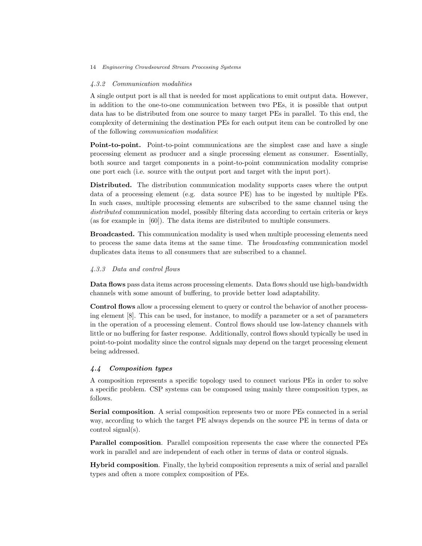### 4.3.2 Communication modalities

A single output port is all that is needed for most applications to emit output data. However, in addition to the one-to-one communication between two PEs, it is possible that output data has to be distributed from one source to many target PEs in parallel. To this end, the complexity of determining the destination PEs for each output item can be controlled by one of the following communication modalities:

Point-to-point. Point-to-point communications are the simplest case and have a single processing element as producer and a single processing element as consumer. Essentially, both source and target components in a point-to-point communication modality comprise one port each (i.e. source with the output port and target with the input port).

Distributed. The distribution communication modality supports cases where the output data of a processing element (e.g. data source PE) has to be ingested by multiple PEs. In such cases, multiple processing elements are subscribed to the same channel using the distributed communication model, possibly filtering data according to certain criteria or keys (as for example in [\[60\]](#page-30-0)). The data items are distributed to multiple consumers.

Broadcasted. This communication modality is used when multiple processing elements need to process the same data items at the same time. The broadcasting communication model duplicates data items to all consumers that are subscribed to a channel.

# 4.3.3 Data and control flows

Data flows pass data items across processing elements. Data flows should use high-bandwidth channels with some amount of buffering, to provide better load adaptability.

Control flows allow a processing element to query or control the behavior of another processing element [\[8\]](#page-26-10). This can be used, for instance, to modify a parameter or a set of parameters in the operation of a processing element. Control flows should use low-latency channels with little or no buffering for faster response. Additionally, control flows should typically be used in point-to-point modality since the control signals may depend on the target processing element being addressed.

# 4.4 Composition types

A composition represents a specific topology used to connect various PEs in order to solve a specific problem. CSP systems can be composed using mainly three composition types, as follows.

Serial composition. A serial composition represents two or more PEs connected in a serial way, according to which the target PE always depends on the source PE in terms of data or control signal(s).

Parallel composition. Parallel composition represents the case where the connected PEs work in parallel and are independent of each other in terms of data or control signals.

Hybrid composition. Finally, the hybrid composition represents a mix of serial and parallel types and often a more complex composition of PEs.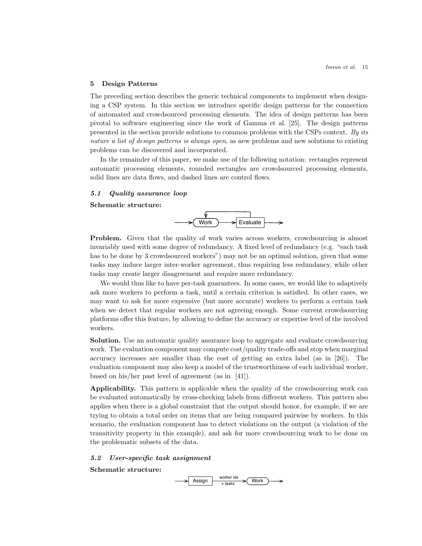## <span id="page-14-0"></span>5 Design Patterns

The preceding section describes the generic technical components to implement when designing a CSP system. In this section we introduce specific design patterns for the connection of automated and crowdsourced processing elements. The idea of design patterns has been pivotal to software engineering since the work of Gamma et al. [\[25\]](#page-27-10). The design patterns presented in the section provide solutions to common problems with the CSPs context. By its nature a list of design patterns is always open, as new problems and new solutions to existing problems can be discovered and incorporated.

In the remainder of this paper, we make use of the following notation: rectangles represent automatic processing elements, rounded rectangles are crowdsourced processing elements, solid lines are data flows, and dashed lines are control flows.

# <span id="page-14-1"></span>5.1 Quality assurance loop

Schematic structure:



**Problem.** Given that the quality of work varies across workers, crowdsourcing is almost invariably used with some degree of redundancy. A fixed level of redundancy (e.g. "each task has to be done by 3 crowdsourced workers") may not be an optimal solution, given that some tasks may induce larger inter-worker agreement, thus requiring less redundancy, while other tasks may create larger disagreement and require more redundancy.

We would thus like to have per-task guarantees. In some cases, we would like to adaptively ask more workers to perform a task, until a certain criterion is satisfied. In other cases, we may want to ask for more expensive (but more accurate) workers to perform a certain task when we detect that regular workers are not agreeing enough. Some current crowdsourcing platforms offer this feature, by allowing to define the accuracy or expertise level of the involved workers.

Solution. Use an automatic quality assurance loop to aggregate and evaluate crowdsourcing work. The evaluation component may compute cost/quality trade-offs and stop when marginal accuracy increases are smaller than the cost of getting an extra label (as in [\[26\]](#page-27-7)). The evaluation component may also keep a model of the trustworthiness of each individual worker, based on his/her past level of agreement (as in [\[41\]](#page-28-3)).

Applicability. This pattern is applicable when the quality of the crowdsourcing work can be evaluated automatically by cross-checking labels from different workers. This pattern also applies when there is a global constraint that the output should honor, for example, if we are trying to obtain a total order on items that are being compared pairwise by workers. In this scenario, the evaluation component has to detect violations on the output (a violation of the transitivity property in this example), and ask for more crowdsourcing work to be done on the problematic subsets of the data.

### 5.2 User-specific task assignment

Schematic structure:

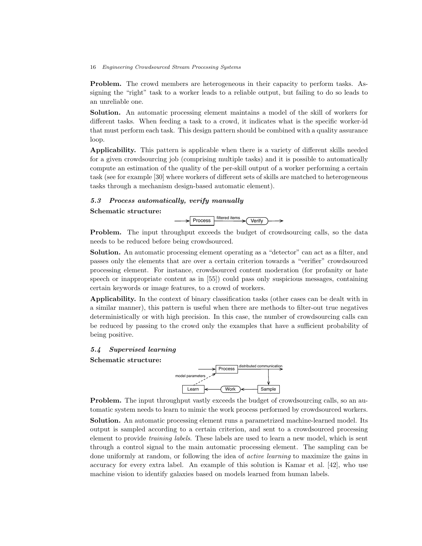Problem. The crowd members are heterogeneous in their capacity to perform tasks. Assigning the "right" task to a worker leads to a reliable output, but failing to do so leads to an unreliable one.

Solution. An automatic processing element maintains a model of the skill of workers for different tasks. When feeding a task to a crowd, it indicates what is the specific worker-id that must perform each task. This design pattern should be combined with a quality assurance loop.

Applicability. This pattern is applicable when there is a variety of different skills needed for a given crowdsourcing job (comprising multiple tasks) and it is possible to automatically compute an estimation of the quality of the per-skill output of a worker performing a certain task (see for example [\[30\]](#page-28-6) where workers of different sets of skills are matched to heterogeneous tasks through a mechanism design-based automatic element).

# 5.3 Process automatically, verify manually

### Schematic structure:



**Problem.** The input throughput exceeds the budget of crowdsourcing calls, so the data needs to be reduced before being crowdsourced.

Solution. An automatic processing element operating as a "detector" can act as a filter, and passes only the elements that are over a certain criterion towards a "verifier" crowdsourced processing element. For instance, crowdsourced content moderation (for profanity or hate speech or inappropriate content as in [\[55\]](#page-29-9)) could pass only suspicious messages, containing certain keywords or image features, to a crowd of workers.

Applicability. In the context of binary classification tasks (other cases can be dealt with in a similar manner), this pattern is useful when there are methods to filter-out true negatives deterministically or with high precision. In this case, the number of crowdsourcing calls can be reduced by passing to the crowd only the examples that have a sufficient probability of being positive.

# <span id="page-15-0"></span>5.4 Supervised learning

Schematic structure:



**Problem.** The input throughput vastly exceeds the budget of crowdsourcing calls, so an automatic system needs to learn to mimic the work process performed by crowdsourced workers.

Solution. An automatic processing element runs a parametrized machine-learned model. Its output is sampled according to a certain criterion, and sent to a crowdsourced processing element to provide training labels. These labels are used to learn a new model, which is sent through a control signal to the main automatic processing element. The sampling can be done uniformly at random, or following the idea of active learning to maximize the gains in accuracy for every extra label. An example of this solution is Kamar et al. [\[42\]](#page-29-3), who use machine vision to identify galaxies based on models learned from human labels.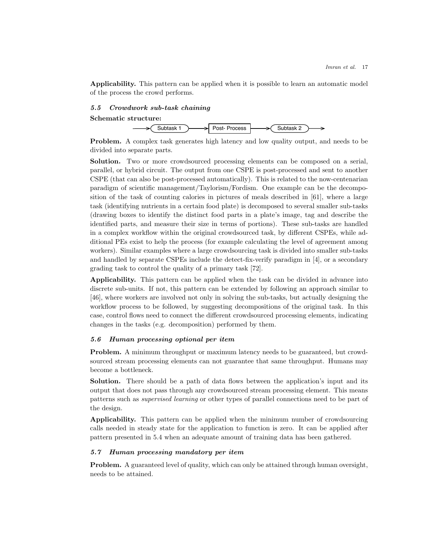Applicability. This pattern can be applied when it is possible to learn an automatic model of the process the crowd performs.

## 5.5 Crowdwork sub-task chaining

### Schematic structure:



Problem. A complex task generates high latency and low quality output, and needs to be divided into separate parts.

Solution. Two or more crowdsourced processing elements can be composed on a serial, parallel, or hybrid circuit. The output from one CSPE is post-processed and sent to another CSPE (that can also be post-processed automatically). This is related to the now-centenarian paradigm of scientific management/Taylorism/Fordism. One example can be the decomposition of the task of counting calories in pictures of meals described in [\[61\]](#page-30-7), where a large task (identifying nutrients in a certain food plate) is decomposed to several smaller sub-tasks (drawing boxes to identify the distinct food parts in a plate's image, tag and describe the identified parts, and measure their size in terms of portions). These sub-tasks are handled in a complex workflow within the original crowdsourced task, by different CSPEs, while additional PEs exist to help the process (for example calculating the level of agreement among workers). Similar examples where a large crowdsourcing task is divided into smaller sub-tasks and handled by separate CSPEs include the detect-fix-verify paradigm in [\[4\]](#page-26-6), or a secondary grading task to control the quality of a primary task [\[72\]](#page-31-12).

Applicability. This pattern can be applied when the task can be divided in advance into discrete sub-units. If not, this pattern can be extended by following an approach similar to [\[46\]](#page-29-10), where workers are involved not only in solving the sub-tasks, but actually designing the workflow process to be followed, by suggesting decompositions of the original task. In this case, control flows need to connect the different crowdsourced processing elements, indicating changes in the tasks (e.g. decomposition) performed by them.

### <span id="page-16-0"></span>5.6 Human processing optional per item

Problem. A minimum throughput or maximum latency needs to be guaranteed, but crowdsourced stream processing elements can not guarantee that same throughput. Humans may become a bottleneck.

Solution. There should be a path of data flows between the application's input and its output that does not pass through any crowdsourced stream processing element. This means patterns such as supervised learning or other types of parallel connections need to be part of the design.

Applicability. This pattern can be applied when the minimum number of crowdsourcing calls needed in steady state for the application to function is zero. It can be applied after pattern presented in [5.4](#page-15-0) when an adequate amount of training data has been gathered.

# 5.7 Human processing mandatory per item

Problem. A guaranteed level of quality, which can only be attained through human oversight, needs to be attained.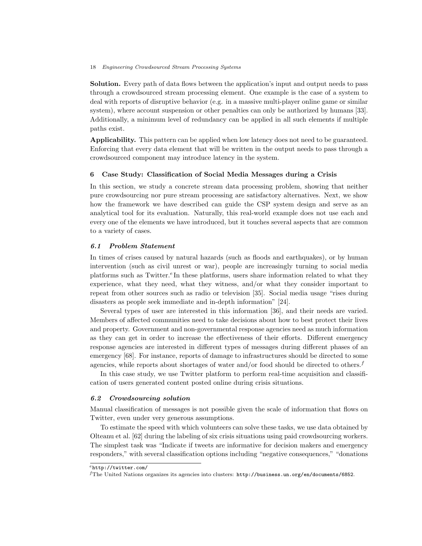Solution. Every path of data flows between the application's input and output needs to pass through a crowdsourced stream processing element. One example is the case of a system to deal with reports of disruptive behavior (e.g. in a massive multi-player online game or similar system), where account suspension or other penalties can only be authorized by humans [\[33\]](#page-28-7). Additionally, a minimum level of redundancy can be applied in all such elements if multiple paths exist.

Applicability. This pattern can be applied when low latency does not need to be guaranteed. Enforcing that every data element that will be written in the output needs to pass through a crowdsourced component may introduce latency in the system.

# <span id="page-17-0"></span>6 Case Study: Classification of Social Media Messages during a Crisis

In this section, we study a concrete stream data processing problem, showing that neither pure crowdsourcing nor pure stream processing are satisfactory alternatives. Next, we show how the framework we have described can guide the CSP system design and serve as an analytical tool for its evaluation. Naturally, this real-world example does not use each and every one of the elements we have introduced, but it touches several aspects that are common to a variety of cases.

# 6.1 Problem Statement

In times of crises caused by natural hazards (such as floods and earthquakes), or by human intervention (such as civil unrest or war), people are increasingly turning to social media platforms such as Twitt[e](#page-17-1)r.<sup> $e$ </sup>In these platforms, users share information related to what they experience, what they need, what they witness, and/or what they consider important to repeat from other sources such as radio or television [\[35\]](#page-28-8). Social media usage "rises during disasters as people seek immediate and in-depth information" [\[24\]](#page-27-11).

Several types of user are interested in this information [\[36\]](#page-28-9), and their needs are varied. Members of affected communities need to take decisions about how to best protect their lives and property. Government and non-governmental response agencies need as much information as they can get in order to increase the effectiveness of their efforts. Different emergency response agencies are interested in different types of messages during different phases of an emergency [\[68\]](#page-30-8). For instance, reports of damage to infrastructures should be directed to some agencies, while reports about shortages of water and/or food should be directed to others[.](#page-17-2)<sup>f</sup>

In this case study, we use Twitter platform to perform real-time acquisition and classification of users generated content posted online during crisis situations.

#### <span id="page-17-3"></span>6.2 Crowdsourcing solution

Manual classification of messages is not possible given the scale of information that flows on Twitter, even under very generous assumptions.

To estimate the speed with which volunteers can solve these tasks, we use data obtained by Olteanu et al. [\[62\]](#page-30-9) during the labeling of six crisis situations using paid crowdsourcing workers. The simplest task was "Indicate if tweets are informative for decision makers and emergency responders," with several classification options including "negative consequences," "donations

<span id="page-17-1"></span><sup>e</sup><http://twitter.com/>

<span id="page-17-2"></span><sup>f</sup>The United Nations organizes its agencies into clusters: <http://business.un.org/en/documents/6852>.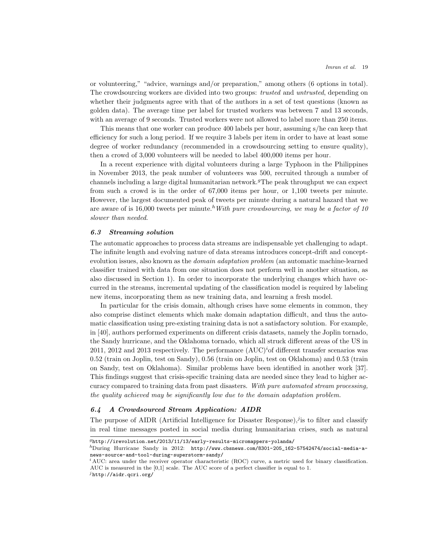or volunteering," "advice, warnings and/or preparation," among others (6 options in total). The crowdsourcing workers are divided into two groups: *trusted* and *untrusted*, depending on whether their judgments agree with that of the authors in a set of test questions (known as golden data). The average time per label for trusted workers was between 7 and 13 seconds, with an average of 9 seconds. Trusted workers were not allowed to label more than 250 items.

This means that one worker can produce 400 labels per hour, assuming s/he can keep that efficiency for such a long period. If we require 3 labels per item in order to have at least some degree of worker redundancy (recommended in a crowdsourcing setting to ensure quality), then a crowd of 3,000 volunteers will be needed to label 400,000 items per hour.

In a recent experience with digital volunteers during a large Typhoon in the Philippines in November 2013, the peak number of volunteers was 500, recruited through a number of channels including a large digital humanitarian network[.](#page-18-0)<sup> $g$ The peak throughput we can expect</sup> from such a crowd is in the order of 67,000 items per hour, or 1,100 tweets per minute. However, the largest documented peak of tweets per minute during a natural hazard that we are aware of is 16,000 tweets per minute.<sup>[h](#page-18-1)</sup>With pure crowdsourcing, we may be a factor of 10 slower than needed.

#### <span id="page-18-4"></span>6.3 Streaming solution

The automatic approaches to process data streams are indispensable yet challenging to adapt. The infinite length and evolving nature of data streams introduces concept-drift and conceptevolution issues, also known as the *domain adaptation problem* (an automatic machine-learned classifier trained with data from one situation does not perform well in another situation, as also discussed in Section [1\)](#page-0-0). In order to incorporate the underlying changes which have occurred in the streams, incremental updating of the classification model is required by labeling new items, incorporating them as new training data, and learning a fresh model.

In particular for the crisis domain, although crises have some elements in common, they also comprise distinct elements which make domain adaptation difficult, and thus the automatic classification using pre-existing training data is not a satisfactory solution. For example, in [\[40\]](#page-28-10), authors performed experiments on different crisis datasets, namely the Joplin tornado, the Sandy hurricane, and the Oklahoma tornado, which all struck different areas of the US in 2011, 2012 and 2013 respectively. The performance  $(AUC)^{i}$  $(AUC)^{i}$  $(AUC)^{i}$  of different transfer scenarios was 0.52 (train on Joplin, test on Sandy), 0.56 (train on Joplin, test on Oklahoma) and 0.53 (train on Sandy, test on Oklahoma). Similar problems have been identified in another work [\[37\]](#page-28-11). This findings suggest that crisis-specific training data are needed since they lead to higher accuracy compared to training data from past disasters. With pure automated stream processing, the quality achieved may be significantly low due to the domain adaptation problem.

# 6.4 A Crowdsourced Stream Application: AIDR

The purpose of AIDR (Artificial Intelligence for Disaster Response)[,](#page-18-3)  $i$  is to filter and classify in real time messages posted in social media during humanitarian crises, such as natural

<span id="page-18-3"></span><sup>j</sup><http://aidr.qcri.org/>

<span id="page-18-0"></span> $g$ <http://irevolution.net/2013/11/13/early-results-micromappers-yolanda/>

<span id="page-18-1"></span> $h$ During Hurricane Sandy in 2012: [http://www.cbsnews.com/8301-205\\_162-57542474/social-media-a](http://www.cbsnews.com/8301-205_162-57542474/social-media-a-news-source-and-tool-during-superstorm-sandy/)[news-source-and-tool-during-superstorm-sandy/](http://www.cbsnews.com/8301-205_162-57542474/social-media-a-news-source-and-tool-during-superstorm-sandy/)

<span id="page-18-2"></span> $i$  AUC: area under the receiver operator characteristic (ROC) curve, a metric used for binary classification. AUC is measured in the [0,1] scale. The AUC score of a perfect classifier is equal to 1.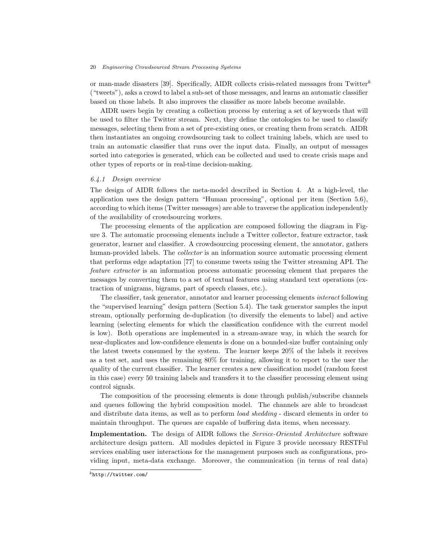or man-made disasters [\[39\]](#page-28-12). Specifically, AIDR collects crisis-related messages from Twitter<sup>[k](#page-19-0)</sup> ("tweets"), asks a crowd to label a sub-set of those messages, and learns an automatic classifier based on those labels. It also improves the classifier as more labels become available.

AIDR users begin by creating a collection process by entering a set of keywords that will be used to filter the Twitter stream. Next, they define the ontologies to be used to classify messages, selecting them from a set of pre-existing ones, or creating them from scratch. AIDR then instantiates an ongoing crowdsourcing task to collect training labels, which are used to train an automatic classifier that runs over the input data. Finally, an output of messages sorted into categories is generated, which can be collected and used to create crisis maps and other types of reports or in real-time decision-making.

### 6.4.1 Design overview

The design of AIDR follows the meta-model described in Section [4.](#page-10-0) At a high-level, the application uses the design pattern "Human processing", optional per item (Section [5.6\)](#page-16-0), according to which items (Twitter messages) are able to traverse the application independently of the availability of crowdsourcing workers.

The processing elements of the application are composed following the diagram in Figure [3.](#page-20-0) The automatic processing elements include a Twitter collector, feature extractor, task generator, learner and classifier. A crowdsourcing processing element, the annotator, gathers human-provided labels. The *collector* is an information source automatic processing element that performs edge adaptation [\[77\]](#page-31-8) to consume tweets using the Twitter streaming API. The feature extractor is an information process automatic processing element that prepares the messages by converting them to a set of textual features using standard text operations (extraction of unigrams, bigrams, part of speech classes, etc.).

The classifier, task generator, annotator and learner processing elements interact following the "supervised learning" design pattern (Section [5.4\)](#page-15-0). The task generator samples the input stream, optionally performing de-duplication (to diversify the elements to label) and active learning (selecting elements for which the classification confidence with the current model is low). Both operations are implemented in a stream-aware way, in which the search for near-duplicates and low-confidence elements is done on a bounded-size buffer containing only the latest tweets consumed by the system. The learner keeps 20% of the labels it receives as a test set, and uses the remaining 80% for training, allowing it to report to the user the quality of the current classifier. The learner creates a new classification model (random forest in this case) every 50 training labels and transfers it to the classifier processing element using control signals.

The composition of the processing elements is done through publish/subscribe channels and queues following the hybrid composition model. The channels are able to broadcast and distribute data items, as well as to perform *load shedding* - discard elements in order to maintain throughput. The queues are capable of buffering data items, when necessary.

Implementation. The design of AIDR follows the *Service-Oriented Architecture* software architecture design pattern. All modules depicted in Figure [3](#page-20-0) provide necessary RESTFul services enabling user interactions for the management purposes such as configurations, providing input, meta-data exchange. Moreover, the communication (in terms of real data)

<span id="page-19-0"></span> $k$ <http://twitter.com/>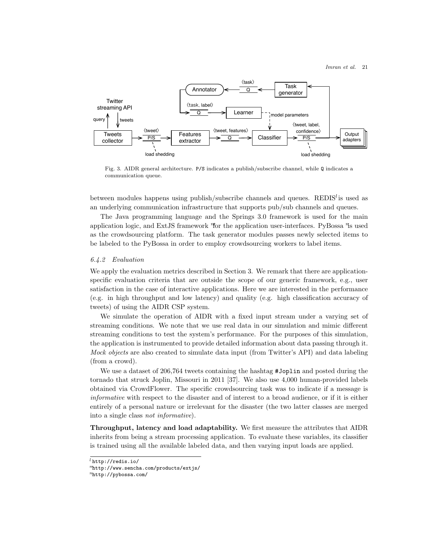

<span id="page-20-0"></span>Fig. 3. AIDR general architecture. P/S indicates a publish/subscribe channel, while Q indicates a communication queue.

between modu[l](#page-20-1)es happens using publish/subscribe channels and queues.  $\text{REDIS}^l$  is used as an underlying communication infrastructure that supports pub/sub channels and queues.

The Java programming language and the Springs 3.0 framework is used for the main application logic, and ExtJS fra[m](#page-20-2)ework  $^n$  $^n$  for the application user-interfaces. PyBossa  $^n$ s used as the crowdsourcing platform. The task generator modules passes newly selected items to be labeled to the PyBossa in order to employ crowdsourcing workers to label items.

#### 6.4.2 Evaluation

We apply the evaluation metrics described in Section [3.](#page-7-0) We remark that there are applicationspecific evaluation criteria that are outside the scope of our generic framework, e.g., user satisfaction in the case of interactive applications. Here we are interested in the performance (e.g. in high throughput and low latency) and quality (e.g. high classification accuracy of tweets) of using the AIDR CSP system.

We simulate the operation of AIDR with a fixed input stream under a varying set of streaming conditions. We note that we use real data in our simulation and mimic different streaming conditions to test the system's performance. For the purposes of this simulation, the application is instrumented to provide detailed information about data passing through it. Mock objects are also created to simulate data input (from Twitter's API) and data labeling (from a crowd).

We use a dataset of 206,764 tweets containing the hashtag #Joplin and posted during the tornado that struck Joplin, Missouri in 2011 [\[37\]](#page-28-11). We also use 4,000 human-provided labels obtained via CrowdFlower. The specific crowdsourcing task was to indicate if a message is informative with respect to the disaster and of interest to a broad audience, or if it is either entirely of a personal nature or irrelevant for the disaster (the two latter classes are merged into a single class not informative).

Throughput, latency and load adaptability. We first measure the attributes that AIDR inherits from being a stream processing application. To evaluate these variables, its classifier is trained using all the available labeled data, and then varying input loads are applied.

<span id="page-20-1"></span> $^l$ <http://redis.io/>

<span id="page-20-2"></span><sup>m</sup><http://www.sencha.com/products/extjs/>

<span id="page-20-3"></span> $n$ <http://pybossa.com/>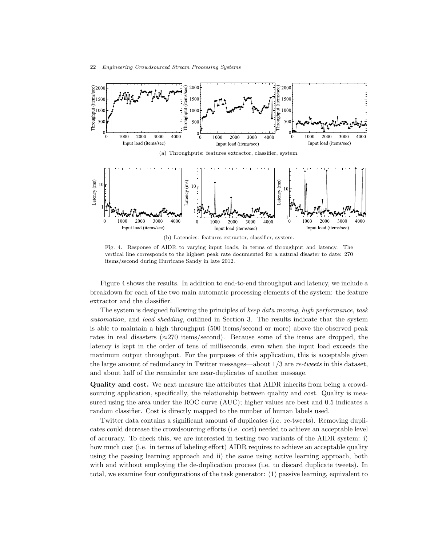

<span id="page-21-0"></span>Fig. 4. Response of AIDR to varying input loads, in terms of throughput and latency. The vertical line corresponds to the highest peak rate documented for a natural disaster to date: 270 items/second during Hurricane Sandy in late 2012.

Figure [4](#page-21-0) shows the results. In addition to end-to-end throughput and latency, we include a breakdown for each of the two main automatic processing elements of the system: the feature extractor and the classifier.

The system is designed following the principles of keep data moving, high performance, task automation, and load shedding, outlined in Section [3.](#page-7-0) The results indicate that the system is able to maintain a high throughput (500 items/second or more) above the observed peak rates in real disasters ( $\approx$ 270 items/second). Because some of the items are dropped, the latency is kept in the order of tens of milliseconds, even when the input load exceeds the maximum output throughput. For the purposes of this application, this is acceptable given the large amount of redundancy in Twitter messages—about  $1/3$  are re-tweets in this dataset, and about half of the remainder are near-duplicates of another message.

Quality and cost. We next measure the attributes that AIDR inherits from being a crowdsourcing application, specifically, the relationship between quality and cost. Quality is measured using the area under the ROC curve (AUC); higher values are best and 0.5 indicates a random classifier. Cost is directly mapped to the number of human labels used.

Twitter data contains a significant amount of duplicates (i.e. re-tweets). Removing duplicates could decrease the crowdsourcing efforts (i.e. cost) needed to achieve an acceptable level of accuracy. To check this, we are interested in testing two variants of the AIDR system: i) how much cost (i.e. in terms of labeling effort) AIDR requires to achieve an acceptable quality using the passing learning approach and ii) the same using active learning approach, both with and without employing the de-duplication process (i.e. to discard duplicate tweets). In total, we examine four configurations of the task generator: (1) passive learning, equivalent to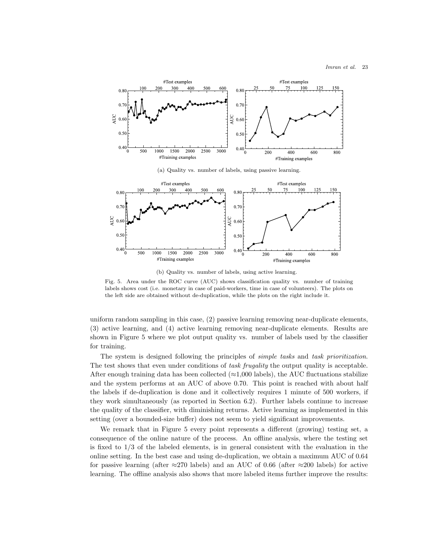

<span id="page-22-0"></span>(b) Quality vs. number of labels, using active learning.

Fig. 5. Area under the ROC curve (AUC) shows classification quality vs. number of training labels shows cost (i.e. monetary in case of paid-workers, time in case of volunteers). The plots on the left side are obtained without de-duplication, while the plots on the right include it.

uniform random sampling in this case, (2) passive learning removing near-duplicate elements, (3) active learning, and (4) active learning removing near-duplicate elements. Results are shown in Figure [5](#page-22-0) where we plot output quality vs. number of labels used by the classifier for training.

The system is designed following the principles of *simple tasks* and task prioritization. The test shows that even under conditions of task frugality the output quality is acceptable. After enough training data has been collected ( $\approx$ 1,000 labels), the AUC fluctuations stabilize and the system performs at an AUC of above 0.70. This point is reached with about half the labels if de-duplication is done and it collectively requires 1 minute of 500 workers, if they work simultaneously (as reported in Section [6.2\)](#page-17-3). Further labels continue to increase the quality of the classifier, with diminishing returns. Active learning as implemented in this setting (over a bounded-size buffer) does not seem to yield significant improvements.

We remark that in Figure [5](#page-22-0) every point represents a different (growing) testing set, a consequence of the online nature of the process. An offline analysis, where the testing set is fixed to  $1/3$  of the labeled elements, is in general consistent with the evaluation in the online setting. In the best case and using de-duplication, we obtain a maximum AUC of 0.64 for passive learning (after  $\approx$ 270 labels) and an AUC of 0.66 (after  $\approx$ 200 labels) for active learning. The offline analysis also shows that more labeled items further improve the results: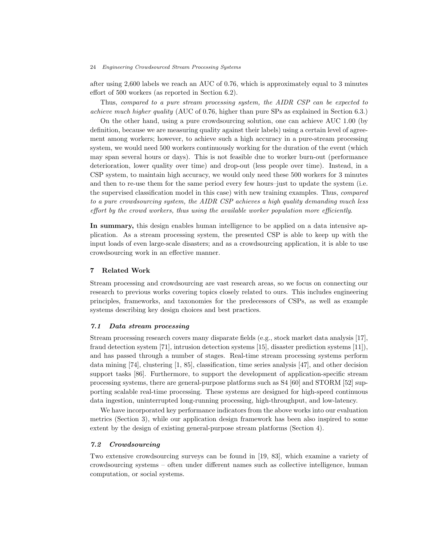after using 2,600 labels we reach an AUC of 0.76, which is approximately equal to 3 minutes effort of 500 workers (as reported in Section [6.2\)](#page-17-3).

Thus, compared to a pure stream processing system, the AIDR CSP can be expected to achieve much higher quality (AUC of 0.76, higher than pure SPs as explained in Section [6.3.](#page-18-4))

On the other hand, using a pure crowdsourcing solution, one can achieve AUC 1.00 (by definition, because we are measuring quality against their labels) using a certain level of agreement among workers; however, to achieve such a high accuracy in a pure-stream processing system, we would need 500 workers continuously working for the duration of the event (which may span several hours or days). This is not feasible due to worker burn-out (performance deterioration, lower quality over time) and drop-out (less people over time). Instead, in a CSP system, to maintain high accuracy, we would only need these 500 workers for 3 minutes and then to re-use them for the same period every few hours–just to update the system (i.e. the supervised classification model in this case) with new training examples. Thus, compared to a pure crowdsourcing system, the AIDR CSP achieves a high quality demanding much less effort by the crowd workers, thus using the available worker population more efficiently.

In summary, this design enables human intelligence to be applied on a data intensive application. As a stream processing system, the presented CSP is able to keep up with the input loads of even large-scale disasters; and as a crowdsourcing application, it is able to use crowdsourcing work in an effective manner.

### <span id="page-23-0"></span>7 Related Work

Stream processing and crowdsourcing are vast research areas, so we focus on connecting our research to previous works covering topics closely related to ours. This includes engineering principles, frameworks, and taxonomies for the predecessors of CSPs, as well as example systems describing key design choices and best practices.

#### 7.1 Data stream processing

Stream processing research covers many disparate fields (e.g., stock market data analysis [\[17\]](#page-27-12), fraud detection system [\[71\]](#page-30-10), intrusion detection systems [\[15\]](#page-27-2), disaster prediction systems [\[11\]](#page-26-11)), and has passed through a number of stages. Real-time stream processing systems perform data mining [\[74\]](#page-31-0), clustering [\[1,](#page-26-4) [85\]](#page-31-1), classification, time series analysis [\[47\]](#page-29-1), and other decision support tasks [\[86\]](#page-31-3). Furthermore, to support the development of application-specific stream processing systems, there are general-purpose platforms such as S4 [\[60\]](#page-30-0) and STORM [\[52\]](#page-29-0) supporting scalable real-time processing. These systems are designed for high-speed continuous data ingestion, uninterrupted long-running processing, high-throughput, and low-latency.

We have incorporated key performance indicators from the above works into our evaluation metrics (Section [3\)](#page-7-0), while our application design framework has been also inspired to some extent by the design of existing general-purpose stream platforms (Section [4\)](#page-10-0).

## 7.2 Crowdsourcing

Two extensive crowdsourcing surveys can be found in [\[19,](#page-27-1) [83\]](#page-31-5), which examine a variety of crowdsourcing systems – often under different names such as collective intelligence, human computation, or social systems.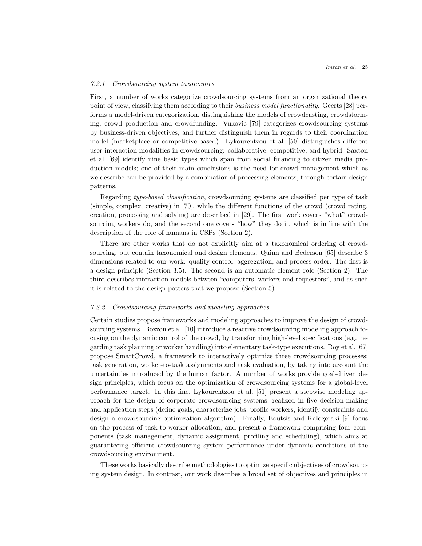## 7.2.1 Crowdsourcing system taxonomies

First, a number of works categorize crowdsourcing systems from an organizational theory point of view, classifying them according to their business model functionality. Geerts [\[28\]](#page-27-13) performs a model-driven categorization, distinguishing the models of crowdcasting, crowdstorming, crowd production and crowdfunding. Vukovic [\[79\]](#page-31-13) categorizes crowdsourcing systems by business-driven objectives, and further distinguish them in regards to their coordination model (marketplace or competitive-based). Lykourentzou et al. [\[50\]](#page-29-11) distinguishes different user interaction modalities in crowdsourcing: collaborative, competitive, and hybrid. Saxton et al. [\[69\]](#page-30-11) identify nine basic types which span from social financing to citizen media production models; one of their main conclusions is the need for crowd management which as we describe can be provided by a combination of processing elements, through certain design patterns.

Regarding type-based classification, crowdsourcing systems are classified per type of task (simple, complex, creative) in [\[70\]](#page-30-12), while the different functions of the crowd (crowd rating, creation, processing and solving) are described in [\[29\]](#page-28-0). The first work covers "what" crowdsourcing workers do, and the second one covers "how" they do it, which is in line with the description of the role of humans in CSPs (Section [2\)](#page-2-0).

There are other works that do not explicitly aim at a taxonomical ordering of crowdsourcing, but contain taxonomical and design elements. Quinn and Bederson [\[65\]](#page-30-13) describe 3 dimensions related to our work: quality control, aggregation, and process order. The first is a design principle (Section [3.5\)](#page-10-2). The second is an automatic element role (Section [2\)](#page-2-0). The third describes interaction models between "computers, workers and requesters", and as such it is related to the design patters that we propose (Section [5\)](#page-14-0).

#### 7.2.2 Crowdsourcing frameworks and modeling approaches

Certain studies propose frameworks and modeling approaches to improve the design of crowdsourcing systems. Bozzon et al. [\[10\]](#page-26-12) introduce a reactive crowdsourcing modeling approach focusing on the dynamic control of the crowd, by transforming high-level specifications (e.g. regarding task planning or worker handling) into elementary task-type executions. Roy et al. [\[67\]](#page-30-4) propose SmartCrowd, a framework to interactively optimize three crowdsourcing processes: task generation, worker-to-task assignments and task evaluation, by taking into account the uncertainties introduced by the human factor. A number of works provide goal-driven design principles, which focus on the optimization of crowdsourcing systems for a global-level performance target. In this line, Lykourentzou et al. [\[51\]](#page-29-12) present a stepwise modeling approach for the design of corporate crowdsourcing systems, realized in five decision-making and application steps (define goals, characterize jobs, profile workers, identify constraints and design a crowdsourcing optimization algorithm). Finally, Boutsis and Kalogeraki [\[9\]](#page-26-9) focus on the process of task-to-worker allocation, and present a framework comprising four components (task management, dynamic assignment, profiling and scheduling), which aims at guaranteeing efficient crowdsourcing system performance under dynamic conditions of the crowdsourcing environment.

These works basically describe methodologies to optimize specific objectives of crowdsourcing system design. In contrast, our work describes a broad set of objectives and principles in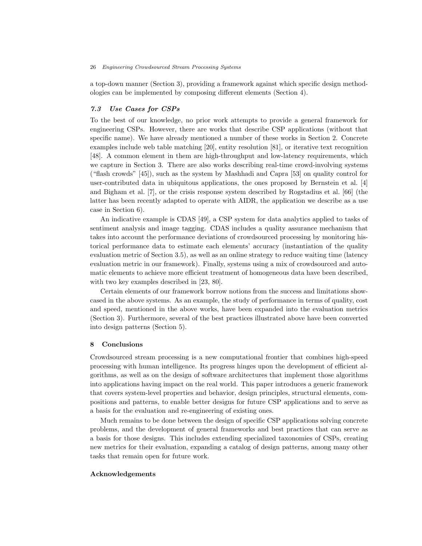a top-down manner (Section [3\)](#page-7-0), providing a framework against which specific design methodologies can be implemented by composing different elements (Section [4\)](#page-10-0).

## 7.3 Use Cases for CSPs

To the best of our knowledge, no prior work attempts to provide a general framework for engineering CSPs. However, there are works that describe CSP applications (without that specific name). We have already mentioned a number of these works in Section [2.](#page-2-0) Concrete examples include web table matching [\[20\]](#page-27-8), entity resolution [\[81\]](#page-31-6), or iterative text recognition [\[48\]](#page-29-13). A common element in them are high-throughput and low-latency requirements, which we capture in Section [3.](#page-7-0) There are also works describing real-time crowd-involving systems ("flash crowds" [\[45\]](#page-29-5)), such as the system by Mashhadi and Capra [\[53\]](#page-29-14) on quality control for user-contributed data in ubiquitous applications, the ones proposed by Bernstein et al. [\[4\]](#page-26-6) and Bigham et al. [\[7\]](#page-26-13), or the crisis response system described by Rogstadius et al. [\[66\]](#page-30-14) (the latter has been recently adapted to operate with AIDR, the application we describe as a use case in Section [6\)](#page-17-0).

An indicative example is CDAS [\[49\]](#page-29-2), a CSP system for data analytics applied to tasks of sentiment analysis and image tagging. CDAS includes a quality assurance mechanism that takes into account the performance deviations of crowdsourced processing by monitoring historical performance data to estimate each elements' accuracy (instantiation of the quality evaluation metric of Section [3.5\)](#page-10-2), as well as an online strategy to reduce waiting time (latency evaluation metric in our framework). Finally, systems using a mix of crowdsourced and automatic elements to achieve more efficient treatment of homogeneous data have been described, with two key examples described in [\[23,](#page-27-5) [80\]](#page-31-14).

Certain elements of our framework borrow notions from the success and limitations showcased in the above systems. As an example, the study of performance in terms of quality, cost and speed, mentioned in the above works, have been expanded into the evaluation metrics (Section [3\)](#page-7-0). Furthermore, several of the best practices illustrated above have been converted into design patterns (Section [5\)](#page-14-0).

## <span id="page-25-0"></span>8 Conclusions

Crowdsourced stream processing is a new computational frontier that combines high-speed processing with human intelligence. Its progress hinges upon the development of efficient algorithms, as well as on the design of software architectures that implement those algorithms into applications having impact on the real world. This paper introduces a generic framework that covers system-level properties and behavior, design principles, structural elements, compositions and patterns, to enable better designs for future CSP applications and to serve as a basis for the evaluation and re-engineering of existing ones.

Much remains to be done between the design of specific CSP applications solving concrete problems, and the development of general frameworks and best practices that can serve as a basis for those designs. This includes extending specialized taxonomies of CSPs, creating new metrics for their evaluation, expanding a catalog of design patterns, among many other tasks that remain open for future work.

## Acknowledgements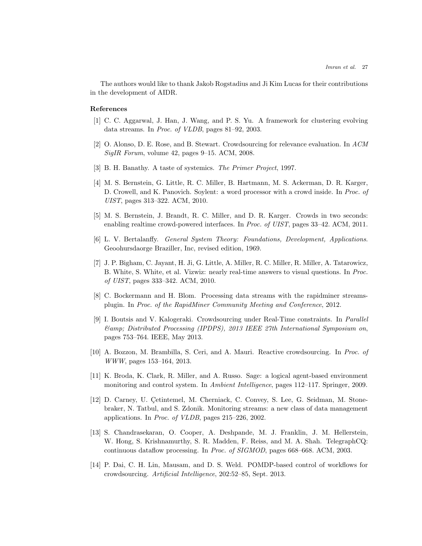The authors would like to thank Jakob Rogstadius and Ji Kim Lucas for their contributions in the development of AIDR.

## References

- <span id="page-26-4"></span>[1] C. C. Aggarwal, J. Han, J. Wang, and P. S. Yu. A framework for clustering evolving data streams. In Proc. of VLDB, pages 81–92, 2003.
- <span id="page-26-5"></span>[2] O. Alonso, D. E. Rose, and B. Stewart. Crowdsourcing for relevance evaluation. In ACM SigIR Forum, volume 42, pages 9–15. ACM, 2008.
- <span id="page-26-2"></span>[3] B. H. Banathy. A taste of systemics. The Primer Project, 1997.
- <span id="page-26-6"></span>[4] M. S. Bernstein, G. Little, R. C. Miller, B. Hartmann, M. S. Ackerman, D. R. Karger, D. Crowell, and K. Panovich. Soylent: a word processor with a crowd inside. In Proc. of UIST, pages 313–322. ACM, 2010.
- <span id="page-26-7"></span>[5] M. S. Bernstein, J. Brandt, R. C. Miller, and D. R. Karger. Crowds in two seconds: enabling realtime crowd-powered interfaces. In Proc. of UIST, pages 33–42. ACM, 2011.
- <span id="page-26-3"></span>[6] L. V. Bertalanffy. General System Theory: Foundations, Development, Applications. Geoohursdaorge Braziller, Inc, revised edition, 1969.
- <span id="page-26-13"></span>[7] J. P. Bigham, C. Jayant, H. Ji, G. Little, A. Miller, R. C. Miller, R. Miller, A. Tatarowicz, B. White, S. White, et al. Vizwiz: nearly real-time answers to visual questions. In Proc. of UIST, pages 333–342. ACM, 2010.
- <span id="page-26-10"></span>[8] C. Bockermann and H. Blom. Processing data streams with the rapidminer streamsplugin. In Proc. of the RapidMiner Community Meeting and Conference, 2012.
- <span id="page-26-9"></span>[9] I. Boutsis and V. Kalogeraki. Crowdsourcing under Real-Time constraints. In Parallel & Distributed Processing (IPDPS), 2013 IEEE 27th International Symposium on, pages 753–764. IEEE, May 2013.
- <span id="page-26-12"></span>[10] A. Bozzon, M. Brambilla, S. Ceri, and A. Mauri. Reactive crowdsourcing. In Proc. of WWW, pages 153–164, 2013.
- <span id="page-26-11"></span>[11] K. Broda, K. Clark, R. Miller, and A. Russo. Sage: a logical agent-based environment monitoring and control system. In Ambient Intelligence, pages 112–117. Springer, 2009.
- <span id="page-26-0"></span>[12] D. Carney, U. Cetintemel, M. Cherniack, C. Convey, S. Lee, G. Seidman, M. Stonebraker, N. Tatbul, and S. Zdonik. Monitoring streams: a new class of data management applications. In Proc. of VLDB, pages 215–226, 2002.
- <span id="page-26-1"></span>[13] S. Chandrasekaran, O. Cooper, A. Deshpande, M. J. Franklin, J. M. Hellerstein, W. Hong, S. Krishnamurthy, S. R. Madden, F. Reiss, and M. A. Shah. TelegraphCQ: continuous dataflow processing. In Proc. of SIGMOD, pages 668–668. ACM, 2003.
- <span id="page-26-8"></span>[14] P. Dai, C. H. Lin, Mausam, and D. S. Weld. POMDP-based control of workflows for crowdsourcing. Artificial Intelligence, 202:52–85, Sept. 2013.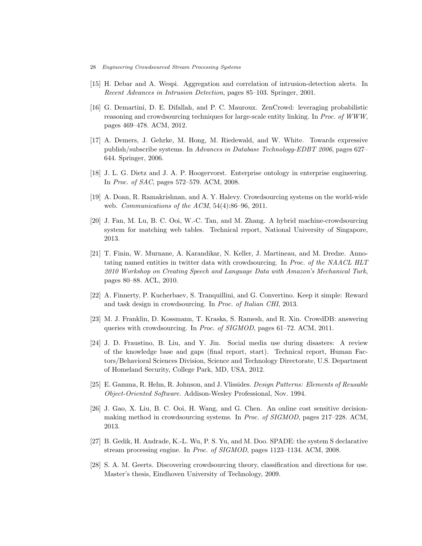- 28 Engineering Crowdsourced Stream Processing Systems
- <span id="page-27-2"></span>[15] H. Debar and A. Wespi. Aggregation and correlation of intrusion-detection alerts. In Recent Advances in Intrusion Detection, pages 85–103. Springer, 2001.
- <span id="page-27-3"></span>[16] G. Demartini, D. E. Difallah, and P. C. Mauroux. ZenCrowd: leveraging probabilistic reasoning and crowdsourcing techniques for large-scale entity linking. In Proc. of WWW, pages 469–478. ACM, 2012.
- <span id="page-27-12"></span>[17] A. Demers, J. Gehrke, M. Hong, M. Riedewald, and W. White. Towards expressive publish/subscribe systems. In Advances in Database Technology-EDBT 2006, pages 627– 644. Springer, 2006.
- <span id="page-27-0"></span>[18] J. L. G. Dietz and J. A. P. Hoogervorst. Enterprise ontology in enterprise engineering. In Proc. of SAC, pages 572–579. ACM, 2008.
- <span id="page-27-1"></span>[19] A. Doan, R. Ramakrishnan, and A. Y. Halevy. Crowdsourcing systems on the world-wide web. Communications of the ACM, 54(4):86–96, 2011.
- <span id="page-27-8"></span>[20] J. Fan, M. Lu, B. C. Ooi, W.-C. Tan, and M. Zhang. A hybrid machine-crowdsourcing system for matching web tables. Technical report, National University of Singapore, 2013.
- <span id="page-27-4"></span>[21] T. Finin, W. Murnane, A. Karandikar, N. Keller, J. Martineau, and M. Dredze. Annotating named entities in twitter data with crowdsourcing. In Proc. of the NAACL HLT 2010 Workshop on Creating Speech and Language Data with Amazon's Mechanical Turk, pages 80–88. ACL, 2010.
- <span id="page-27-6"></span>[22] A. Finnerty, P. Kucherbaev, S. Tranquillini, and G. Convertino. Keep it simple: Reward and task design in crowdsourcing. In Proc. of Italian CHI, 2013.
- <span id="page-27-5"></span>[23] M. J. Franklin, D. Kossmann, T. Kraska, S. Ramesh, and R. Xin. CrowdDB: answering queries with crowdsourcing. In Proc. of SIGMOD, pages 61–72. ACM, 2011.
- <span id="page-27-11"></span>[24] J. D. Fraustino, B. Liu, and Y. Jin. Social media use during disasters: A review of the knowledge base and gaps (final report, start). Technical report, Human Factors/Behavioral Sciences Division, Science and Technology Directorate, U.S. Department of Homeland Security, College Park, MD, USA, 2012.
- <span id="page-27-10"></span>[25] E. Gamma, R. Helm, R. Johnson, and J. Vlissides. Design Patterns: Elements of Reusable Object-Oriented Software. Addison-Wesley Professional, Nov. 1994.
- <span id="page-27-7"></span>[26] J. Gao, X. Liu, B. C. Ooi, H. Wang, and G. Chen. An online cost sensitive decisionmaking method in crowdsourcing systems. In Proc. of SIGMOD, pages 217–228. ACM, 2013.
- <span id="page-27-9"></span>[27] B. Gedik, H. Andrade, K.-L. Wu, P. S. Yu, and M. Doo. SPADE: the system S declarative stream processing engine. In Proc. of SIGMOD, pages 1123–1134. ACM, 2008.
- <span id="page-27-13"></span>[28] S. A. M. Geerts. Discovering crowdsourcing theory, classification and directions for use. Master's thesis, Eindhoven University of Technology, 2009.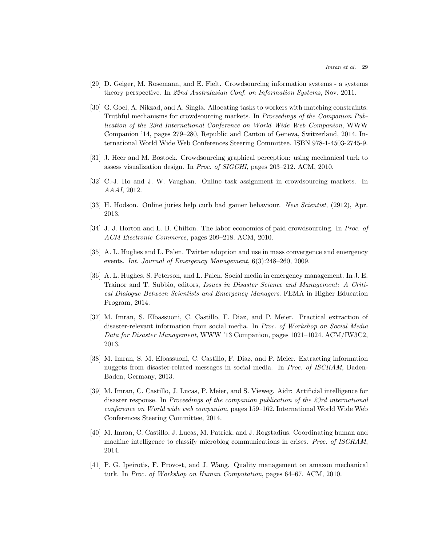- <span id="page-28-0"></span>[29] D. Geiger, M. Rosemann, and E. Fielt. Crowdsourcing information systems - a systems theory perspective. In 22nd Australasian Conf. on Information Systems, Nov. 2011.
- <span id="page-28-6"></span>[30] G. Goel, A. Nikzad, and A. Singla. Allocating tasks to workers with matching constraints: Truthful mechanisms for crowdsourcing markets. In Proceedings of the Companion Publication of the 23rd International Conference on World Wide Web Companion, WWW Companion '14, pages 279–280, Republic and Canton of Geneva, Switzerland, 2014. International World Wide Web Conferences Steering Committee. ISBN 978-1-4503-2745-9.
- <span id="page-28-5"></span>[31] J. Heer and M. Bostock. Crowdsourcing graphical perception: using mechanical turk to assess visualization design. In Proc. of SIGCHI, pages 203–212. ACM, 2010.
- <span id="page-28-2"></span>[32] C.-J. Ho and J. W. Vaughan. Online task assignment in crowdsourcing markets. In AAAI, 2012.
- <span id="page-28-7"></span>[33] H. Hodson. Online juries help curb bad gamer behaviour. New Scientist, (2912), Apr. 2013.
- <span id="page-28-4"></span>[34] J. J. Horton and L. B. Chilton. The labor economics of paid crowdsourcing. In Proc. of ACM Electronic Commerce, pages 209–218. ACM, 2010.
- <span id="page-28-8"></span>[35] A. L. Hughes and L. Palen. Twitter adoption and use in mass convergence and emergency events. Int. Journal of Emergency Management, 6(3):248–260, 2009.
- <span id="page-28-9"></span>[36] A. L. Hughes, S. Peterson, and L. Palen. Social media in emergency management. In J. E. Trainor and T. Subbio, editors, Issues in Disaster Science and Management: A Critical Dialogue Between Scientists and Emergency Managers. FEMA in Higher Education Program, 2014.
- <span id="page-28-11"></span>[37] M. Imran, S. Elbassuoni, C. Castillo, F. Diaz, and P. Meier. Practical extraction of disaster-relevant information from social media. In Proc. of Workshop on Social Media Data for Disaster Management, WWW '13 Companion, pages 1021–1024. ACM/IW3C2, 2013.
- <span id="page-28-1"></span>[38] M. Imran, S. M. Elbassuoni, C. Castillo, F. Diaz, and P. Meier. Extracting information nuggets from disaster-related messages in social media. In Proc. of ISCRAM, Baden-Baden, Germany, 2013.
- <span id="page-28-12"></span>[39] M. Imran, C. Castillo, J. Lucas, P. Meier, and S. Vieweg. Aidr: Artificial intelligence for disaster response. In Proceedings of the companion publication of the 23rd international conference on World wide web companion, pages 159–162. International World Wide Web Conferences Steering Committee, 2014.
- <span id="page-28-10"></span>[40] M. Imran, C. Castillo, J. Lucas, M. Patrick, and J. Rogstadius. Coordinating human and machine intelligence to classify microblog communications in crises. Proc. of ISCRAM, 2014.
- <span id="page-28-3"></span>[41] P. G. Ipeirotis, F. Provost, and J. Wang. Quality management on amazon mechanical turk. In Proc. of Workshop on Human Computation, pages 64–67. ACM, 2010.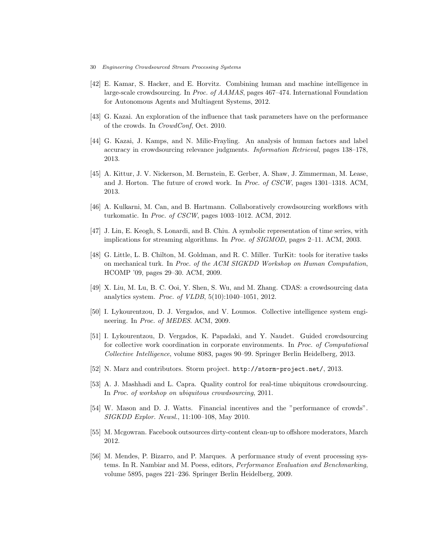- 30 Engineering Crowdsourced Stream Processing Systems
- <span id="page-29-3"></span>[42] E. Kamar, S. Hacker, and E. Horvitz. Combining human and machine intelligence in large-scale crowdsourcing. In Proc. of AAMAS, pages 467–474. International Foundation for Autonomous Agents and Multiagent Systems, 2012.
- <span id="page-29-6"></span>[43] G. Kazai. An exploration of the influence that task parameters have on the performance of the crowds. In CrowdConf, Oct. 2010.
- <span id="page-29-8"></span>[44] G. Kazai, J. Kamps, and N. Milic-Frayling. An analysis of human factors and label accuracy in crowdsourcing relevance judgments. Information Retrieval, pages 138–178, 2013.
- <span id="page-29-5"></span>[45] A. Kittur, J. V. Nickerson, M. Bernstein, E. Gerber, A. Shaw, J. Zimmerman, M. Lease, and J. Horton. The future of crowd work. In Proc. of CSCW, pages 1301–1318. ACM, 2013.
- <span id="page-29-10"></span>[46] A. Kulkarni, M. Can, and B. Hartmann. Collaboratively crowdsourcing workflows with turkomatic. In Proc. of CSCW, pages 1003–1012. ACM, 2012.
- <span id="page-29-1"></span>[47] J. Lin, E. Keogh, S. Lonardi, and B. Chiu. A symbolic representation of time series, with implications for streaming algorithms. In Proc. of SIGMOD, pages 2–11. ACM, 2003.
- <span id="page-29-13"></span>[48] G. Little, L. B. Chilton, M. Goldman, and R. C. Miller. TurKit: tools for iterative tasks on mechanical turk. In Proc. of the ACM SIGKDD Workshop on Human Computation, HCOMP '09, pages 29–30. ACM, 2009.
- <span id="page-29-2"></span>[49] X. Liu, M. Lu, B. C. Ooi, Y. Shen, S. Wu, and M. Zhang. CDAS: a crowdsourcing data analytics system. Proc. of VLDB, 5(10):1040–1051, 2012.
- <span id="page-29-11"></span>[50] I. Lykourentzou, D. J. Vergados, and V. Loumos. Collective intelligence system engineering. In Proc. of MEDES. ACM, 2009.
- <span id="page-29-12"></span>[51] I. Lykourentzou, D. Vergados, K. Papadaki, and Y. Naudet. Guided crowdsourcing for collective work coordination in corporate environments. In Proc. of Computational Collective Intelligence, volume 8083, pages 90–99. Springer Berlin Heidelberg, 2013.
- <span id="page-29-0"></span>[52] N. Marz and contributors. Storm project. <http://storm-project.net/>, 2013.
- <span id="page-29-14"></span>[53] A. J. Mashhadi and L. Capra. Quality control for real-time ubiquitous crowdsourcing. In Proc. of workshop on ubiquitous crowdsourcing, 2011.
- <span id="page-29-7"></span>[54] W. Mason and D. J. Watts. Financial incentives and the "performance of crowds". SIGKDD Explor. Newsl., 11:100–108, May 2010.
- <span id="page-29-9"></span>[55] M. Mcgowran. Facebook outsources dirty-content clean-up to offshore moderators, March 2012.
- <span id="page-29-4"></span>[56] M. Mendes, P. Bizarro, and P. Marques. A performance study of event processing systems. In R. Nambiar and M. Poess, editors, Performance Evaluation and Benchmarking, volume 5895, pages 221–236. Springer Berlin Heidelberg, 2009.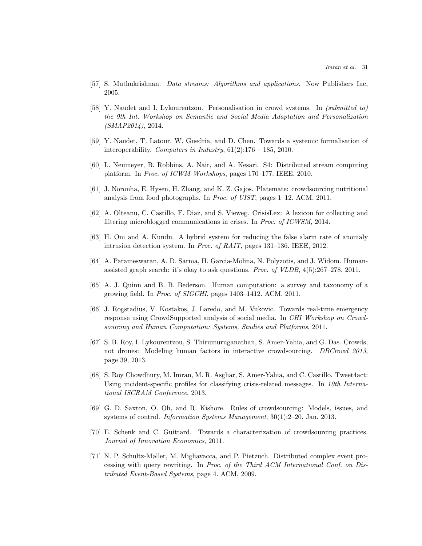- <span id="page-30-2"></span>[57] S. Muthukrishnan. Data streams: Algorithms and applications. Now Publishers Inc, 2005.
- <span id="page-30-3"></span>[58] Y. Naudet and I. Lykourentzou. Personalisation in crowd systems. In (submitted to) the 9th Int. Workshop on Semantic and Social Media Adaptation and Personalization (SMAP2014), 2014.
- <span id="page-30-1"></span>[59] Y. Naudet, T. Latour, W. Guedria, and D. Chen. Towards a systemic formalisation of interoperability. Computers in Industry,  $61(2):176 - 185$ , 2010.
- <span id="page-30-0"></span>[60] L. Neumeyer, B. Robbins, A. Nair, and A. Kesari. S4: Distributed stream computing platform. In Proc. of ICWM Workshops, pages 170–177. IEEE, 2010.
- <span id="page-30-7"></span>[61] J. Noronha, E. Hysen, H. Zhang, and K. Z. Gajos. Platemate: crowdsourcing nutritional analysis from food photographs. In Proc. of UIST, pages 1–12. ACM, 2011.
- <span id="page-30-9"></span>[62] A. Olteanu, C. Castillo, F. Diaz, and S. Vieweg. CrisisLex: A lexicon for collecting and filtering microblogged communications in crises. In Proc. of ICWSM, 2014.
- <span id="page-30-5"></span>[63] H. Om and A. Kundu. A hybrid system for reducing the false alarm rate of anomaly intrusion detection system. In Proc. of RAIT, pages 131–136. IEEE, 2012.
- <span id="page-30-6"></span>[64] A. Parameswaran, A. D. Sarma, H. Garcia-Molina, N. Polyzotis, and J. Widom. Humanassisted graph search: it's okay to ask questions. Proc. of VLDB, 4(5):267–278, 2011.
- <span id="page-30-13"></span>[65] A. J. Quinn and B. B. Bederson. Human computation: a survey and taxonomy of a growing field. In Proc. of SIGCHI, pages 1403–1412. ACM, 2011.
- <span id="page-30-14"></span>[66] J. Rogstadius, V. Kostakos, J. Laredo, and M. Vukovic. Towards real-time emergency response using CrowdSupported analysis of social media. In CHI Workshop on Crowdsourcing and Human Computation: Systems, Studies and Platforms, 2011.
- <span id="page-30-4"></span>[67] S. B. Roy, I. Lykourentzou, S. Thirumuruganathan, S. Amer-Yahia, and G. Das. Crowds, not drones: Modeling human factors in interactive crowdsourcing. DBCrowd 2013, page 39, 2013.
- <span id="page-30-8"></span>[68] S. Roy Chowdhury, M. Imran, M. R. Asghar, S. Amer-Yahia, and C. Castillo. Tweet4act: Using incident-specific profiles for classifying crisis-related messages. In 10th International ISCRAM Conference, 2013.
- <span id="page-30-11"></span>[69] G. D. Saxton, O. Oh, and R. Kishore. Rules of crowdsourcing: Models, issues, and systems of control. Information Systems Management, 30(1):2–20, Jan. 2013.
- <span id="page-30-12"></span>[70] E. Schenk and C. Guittard. Towards a characterization of crowdsourcing practices. Journal of Innovation Economics, 2011.
- <span id="page-30-10"></span>[71] N. P. Schultz-Møller, M. Migliavacca, and P. Pietzuch. Distributed complex event processing with query rewriting. In Proc. of the Third ACM International Conf. on Distributed Event-Based Systems, page 4. ACM, 2009.